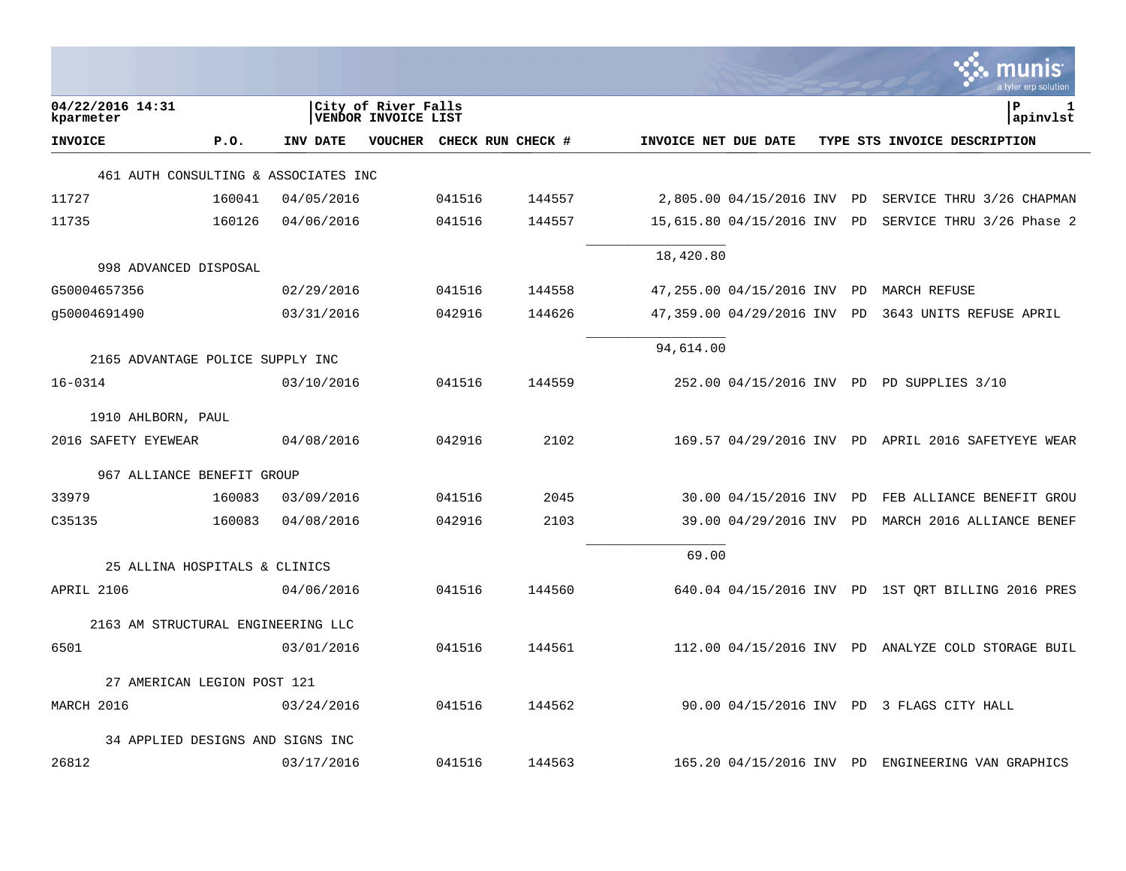|                                    |                                      |            |                                            |        |                   |                      |                             |           | a tyler erp solutior                               |
|------------------------------------|--------------------------------------|------------|--------------------------------------------|--------|-------------------|----------------------|-----------------------------|-----------|----------------------------------------------------|
| 04/22/2016 14:31<br>kparmeter      |                                      |            | City of River Falls<br>VENDOR INVOICE LIST |        |                   |                      |                             |           | ΙP<br>1<br>apinvlst                                |
| <b>INVOICE</b>                     | P.0.                                 | INV DATE   | VOUCHER                                    |        | CHECK RUN CHECK # | INVOICE NET DUE DATE |                             |           | TYPE STS INVOICE DESCRIPTION                       |
|                                    | 461 AUTH CONSULTING & ASSOCIATES INC |            |                                            |        |                   |                      |                             |           |                                                    |
| 11727                              | 160041                               | 04/05/2016 |                                            | 041516 | 144557            |                      | 2,805.00 04/15/2016 INV PD  |           | SERVICE THRU 3/26 CHAPMAN                          |
| 11735                              | 160126                               | 04/06/2016 |                                            | 041516 | 144557            |                      | 15,615.80 04/15/2016 INV    | PD        | SERVICE THRU 3/26 Phase 2                          |
| 998 ADVANCED DISPOSAL              |                                      |            |                                            |        |                   | 18,420.80            |                             |           |                                                    |
| G50004657356                       |                                      | 02/29/2016 |                                            | 041516 | 144558            |                      | 47,255.00 04/15/2016 INV    | <b>PD</b> | MARCH REFUSE                                       |
| q50004691490                       |                                      | 03/31/2016 |                                            | 042916 | 144626            |                      | 47,359.00 04/29/2016 INV PD |           | 3643 UNITS REFUSE APRIL                            |
| 2165 ADVANTAGE POLICE SUPPLY INC   |                                      |            |                                            |        |                   | 94,614.00            |                             |           |                                                    |
| 16-0314                            |                                      | 03/10/2016 |                                            | 041516 | 144559            |                      |                             |           | 252.00 04/15/2016 INV PD PD SUPPLIES 3/10          |
| 1910 AHLBORN, PAUL                 |                                      |            |                                            |        |                   |                      |                             |           |                                                    |
| 2016 SAFETY EYEWEAR                |                                      | 04/08/2016 |                                            | 042916 | 2102              |                      |                             |           | 169.57 04/29/2016 INV PD APRIL 2016 SAFETYEYE WEAR |
|                                    | 967 ALLIANCE BENEFIT GROUP           |            |                                            |        |                   |                      |                             |           |                                                    |
| 33979                              | 160083                               | 03/09/2016 |                                            | 041516 | 2045              |                      | 30.00 04/15/2016 INV        | PD        | FEB ALLIANCE BENEFIT GROU                          |
| C35135                             | 160083                               | 04/08/2016 |                                            | 042916 | 2103              |                      | 39.00 04/29/2016 INV PD     |           | MARCH 2016 ALLIANCE BENEF                          |
|                                    | 25 ALLINA HOSPITALS & CLINICS        |            |                                            |        |                   | 69.00                |                             |           |                                                    |
| APRIL 2106                         |                                      | 04/06/2016 |                                            | 041516 | 144560            |                      |                             |           | 640.04 04/15/2016 INV PD 1ST QRT BILLING 2016 PRES |
| 2163 AM STRUCTURAL ENGINEERING LLC |                                      |            |                                            |        |                   |                      |                             |           |                                                    |
| 6501                               |                                      | 03/01/2016 |                                            | 041516 | 144561            |                      |                             |           | 112.00 04/15/2016 INV PD ANALYZE COLD STORAGE BUIL |
|                                    | 27 AMERICAN LEGION POST 121          |            |                                            |        |                   |                      |                             |           |                                                    |
| MARCH 2016                         |                                      | 03/24/2016 |                                            | 041516 | 144562            |                      |                             |           | 90.00 04/15/2016 INV PD 3 FLAGS CITY HALL          |
|                                    | 34 APPLIED DESIGNS AND SIGNS INC     |            |                                            |        |                   |                      |                             |           |                                                    |
| 26812                              |                                      | 03/17/2016 |                                            | 041516 | 144563            |                      |                             |           | 165.20 04/15/2016 INV PD ENGINEERING VAN GRAPHICS  |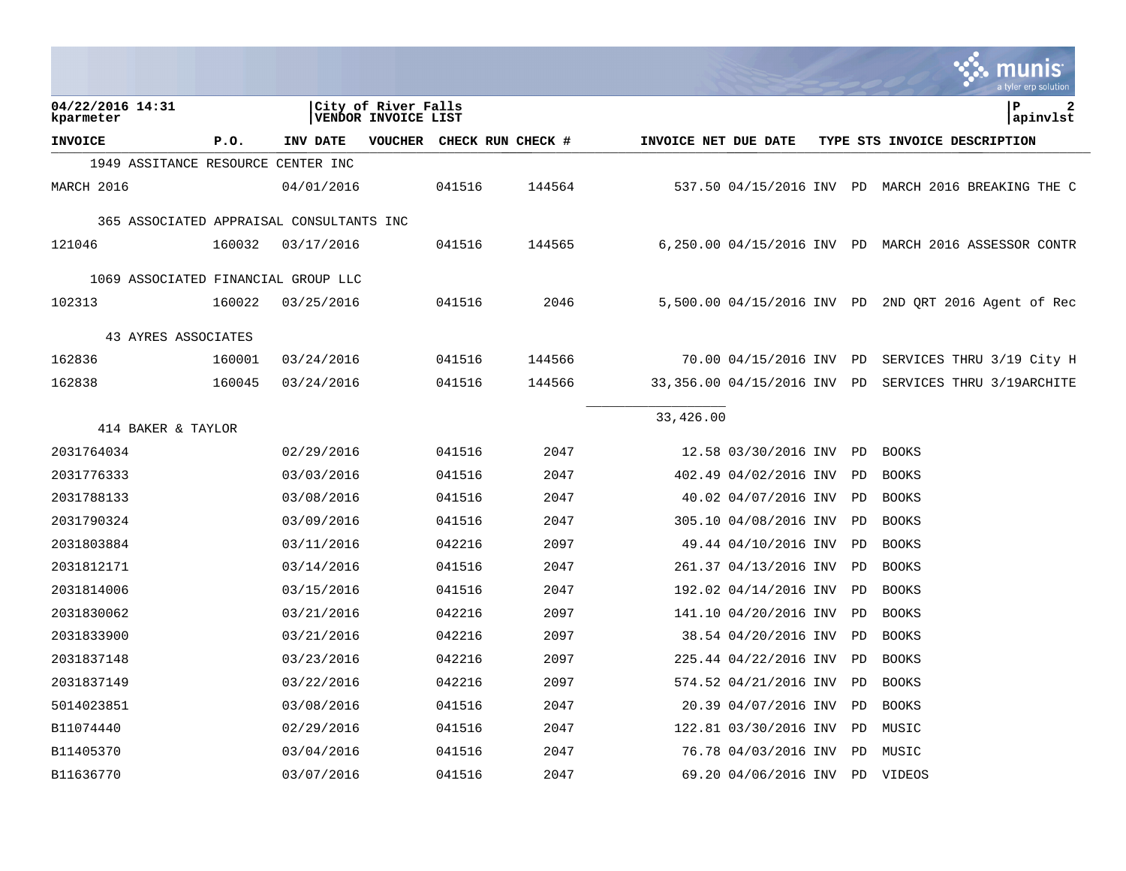|                                          |        |            |                                            |        |                   |                      |                          |           | munis<br>a tyler erp solution                        |
|------------------------------------------|--------|------------|--------------------------------------------|--------|-------------------|----------------------|--------------------------|-----------|------------------------------------------------------|
| 04/22/2016 14:31<br>kparmeter            |        |            | City of River Falls<br>VENDOR INVOICE LIST |        |                   |                      |                          |           | ΙP<br>2<br>apinvlst                                  |
| <b>INVOICE</b>                           | P.0.   | INV DATE   | <b>VOUCHER</b>                             |        | CHECK RUN CHECK # | INVOICE NET DUE DATE |                          |           | TYPE STS INVOICE DESCRIPTION                         |
| 1949 ASSITANCE RESOURCE CENTER INC       |        |            |                                            |        |                   |                      |                          |           |                                                      |
| MARCH 2016                               |        | 04/01/2016 |                                            | 041516 | 144564            |                      |                          |           | 537.50 04/15/2016 INV PD MARCH 2016 BREAKING THE C   |
| 365 ASSOCIATED APPRAISAL CONSULTANTS INC |        |            |                                            |        |                   |                      |                          |           |                                                      |
| 121046                                   | 160032 | 03/17/2016 |                                            | 041516 | 144565            |                      |                          |           | 6,250.00 04/15/2016 INV PD MARCH 2016 ASSESSOR CONTR |
| 1069 ASSOCIATED FINANCIAL GROUP LLC      |        |            |                                            |        |                   |                      |                          |           |                                                      |
| 102313                                   | 160022 | 03/25/2016 |                                            | 041516 | 2046              |                      |                          |           | 5,500.00 04/15/2016 INV PD 2ND QRT 2016 Agent of Rec |
| 43 AYRES ASSOCIATES                      |        |            |                                            |        |                   |                      |                          |           |                                                      |
| 162836                                   | 160001 | 03/24/2016 |                                            | 041516 | 144566            |                      | 70.00 04/15/2016 INV     | PD        | SERVICES THRU 3/19 City H                            |
| 162838                                   | 160045 | 03/24/2016 |                                            | 041516 | 144566            |                      | 33,356.00 04/15/2016 INV | PD        | SERVICES THRU 3/19ARCHITE                            |
| 414 BAKER & TAYLOR                       |        |            |                                            |        |                   | 33,426.00            |                          |           |                                                      |
| 2031764034                               |        | 02/29/2016 |                                            | 041516 | 2047              |                      | 12.58 03/30/2016 INV     | PD        | <b>BOOKS</b>                                         |
| 2031776333                               |        | 03/03/2016 |                                            | 041516 | 2047              |                      | 402.49 04/02/2016 INV    | PD        | <b>BOOKS</b>                                         |
| 2031788133                               |        | 03/08/2016 |                                            | 041516 | 2047              |                      | 40.02 04/07/2016 INV     | <b>PD</b> | <b>BOOKS</b>                                         |
| 2031790324                               |        | 03/09/2016 |                                            | 041516 | 2047              |                      | 305.10 04/08/2016 INV    | PD        | <b>BOOKS</b>                                         |
| 2031803884                               |        | 03/11/2016 |                                            | 042216 | 2097              |                      | 49.44 04/10/2016 INV     | PD        | <b>BOOKS</b>                                         |
| 2031812171                               |        | 03/14/2016 |                                            | 041516 | 2047              |                      | 261.37 04/13/2016 INV    | PD        | <b>BOOKS</b>                                         |
| 2031814006                               |        | 03/15/2016 |                                            | 041516 | 2047              |                      | 192.02 04/14/2016 INV    | PD        | <b>BOOKS</b>                                         |
| 2031830062                               |        | 03/21/2016 |                                            | 042216 | 2097              |                      | 141.10 04/20/2016 INV    | <b>PD</b> | <b>BOOKS</b>                                         |
| 2031833900                               |        | 03/21/2016 |                                            | 042216 | 2097              |                      | 38.54 04/20/2016 INV     | PD        | <b>BOOKS</b>                                         |
| 2031837148                               |        | 03/23/2016 |                                            | 042216 | 2097              |                      | 225.44 04/22/2016 INV    | PD        | <b>BOOKS</b>                                         |
| 2031837149                               |        | 03/22/2016 |                                            | 042216 | 2097              |                      | 574.52 04/21/2016 INV    | PD        | <b>BOOKS</b>                                         |
| 5014023851                               |        | 03/08/2016 |                                            | 041516 | 2047              |                      | 20.39 04/07/2016 INV     | PD        | <b>BOOKS</b>                                         |
| B11074440                                |        | 02/29/2016 |                                            | 041516 | 2047              |                      | 122.81 03/30/2016 INV    | PD.       | MUSIC                                                |
| B11405370                                |        | 03/04/2016 |                                            | 041516 | 2047              |                      | 76.78 04/03/2016 INV     | PD.       | MUSIC                                                |
| B11636770                                |        | 03/07/2016 |                                            | 041516 | 2047              |                      | 69.20 04/06/2016 INV     | PD        | VIDEOS                                               |

 $\mathcal{L}$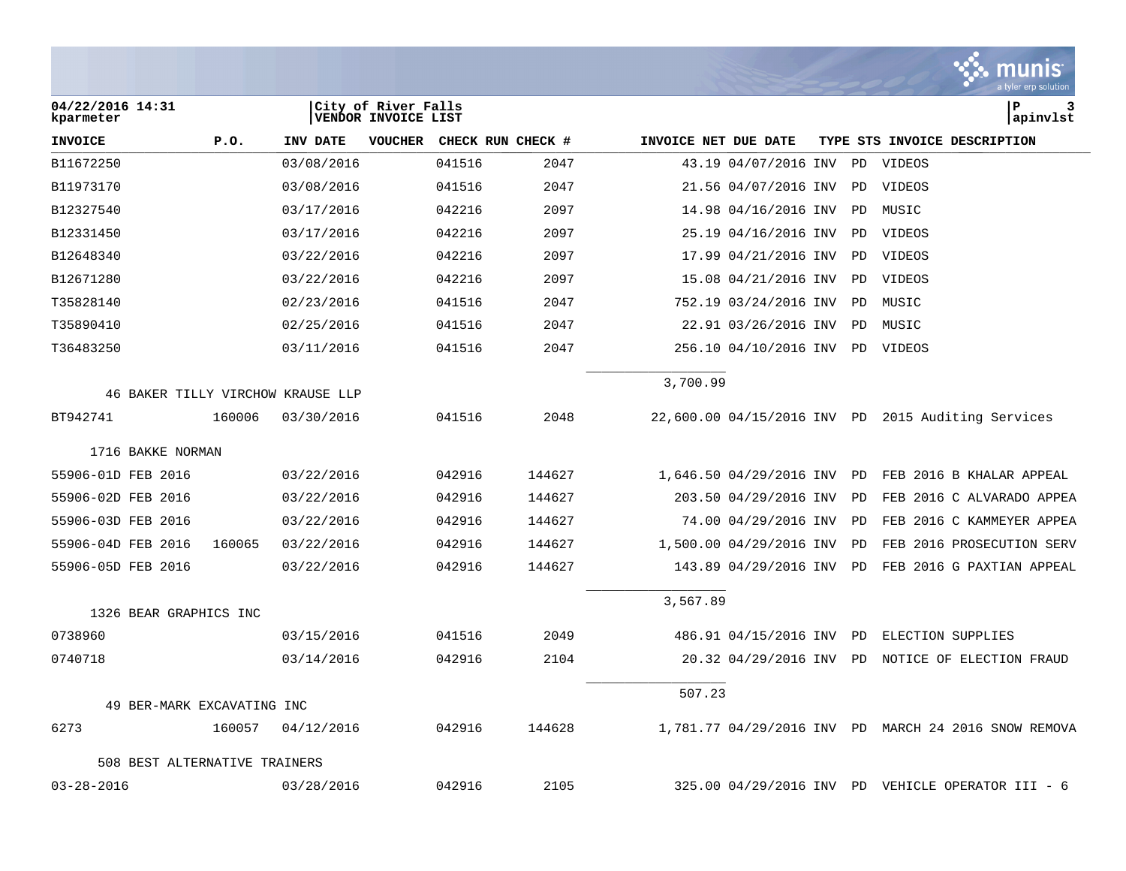|                                   |        |            |                                            |                   |        |                      |                         |           | munıs<br>a tyler erp solution                        |
|-----------------------------------|--------|------------|--------------------------------------------|-------------------|--------|----------------------|-------------------------|-----------|------------------------------------------------------|
| 04/22/2016 14:31<br>kparmeter     |        |            | City of River Falls<br>VENDOR INVOICE LIST |                   |        |                      |                         |           | lР<br>3<br>apinvlst                                  |
| <b>INVOICE</b>                    | P.O.   | INV DATE   | <b>VOUCHER</b>                             | CHECK RUN CHECK # |        | INVOICE NET DUE DATE |                         |           | TYPE STS INVOICE DESCRIPTION                         |
| B11672250                         |        | 03/08/2016 |                                            | 041516            | 2047   |                      | 43.19 04/07/2016 INV    | PD        | VIDEOS                                               |
| B11973170                         |        | 03/08/2016 |                                            | 041516            | 2047   |                      | 21.56 04/07/2016 INV    | PD        | VIDEOS                                               |
| B12327540                         |        | 03/17/2016 |                                            | 042216            | 2097   |                      | 14.98 04/16/2016 INV    | PD        | MUSIC                                                |
| B12331450                         |        | 03/17/2016 |                                            | 042216            | 2097   |                      | 25.19 04/16/2016 INV    | PD        | VIDEOS                                               |
| B12648340                         |        | 03/22/2016 |                                            | 042216            | 2097   |                      | 17.99 04/21/2016 INV    | PD        | VIDEOS                                               |
| B12671280                         |        | 03/22/2016 |                                            | 042216            | 2097   |                      | 15.08 04/21/2016 INV    | PD.       | VIDEOS                                               |
| T35828140                         |        | 02/23/2016 |                                            | 041516            | 2047   |                      | 752.19 03/24/2016 INV   | PD        | MUSIC                                                |
| T35890410                         |        | 02/25/2016 |                                            | 041516            | 2047   |                      | 22.91 03/26/2016 INV    | PD        | MUSIC                                                |
| T36483250                         |        | 03/11/2016 |                                            | 041516            | 2047   |                      | 256.10 04/10/2016 INV   | PD        | VIDEOS                                               |
|                                   |        |            |                                            |                   |        | 3,700.99             |                         |           |                                                      |
| 46 BAKER TILLY VIRCHOW KRAUSE LLP |        |            |                                            |                   |        |                      |                         |           |                                                      |
| BT942741                          | 160006 | 03/30/2016 |                                            | 041516            | 2048   |                      |                         |           | 22,600.00 04/15/2016 INV PD 2015 Auditing Services   |
| 1716 BAKKE NORMAN                 |        |            |                                            |                   |        |                      |                         |           |                                                      |
| 55906-01D FEB 2016                |        | 03/22/2016 |                                            | 042916            | 144627 |                      | 1,646.50 04/29/2016 INV | <b>PD</b> | FEB 2016 B KHALAR APPEAL                             |
| 55906-02D FEB 2016                |        | 03/22/2016 |                                            | 042916            | 144627 |                      | 203.50 04/29/2016 INV   | PD        | FEB 2016 C ALVARADO APPEA                            |
| 55906-03D FEB 2016                |        | 03/22/2016 |                                            | 042916            | 144627 |                      | 74.00 04/29/2016 INV    | PD        | FEB 2016 C KAMMEYER APPEA                            |
| 55906-04D FEB 2016                | 160065 | 03/22/2016 |                                            | 042916            | 144627 |                      | 1,500.00 04/29/2016 INV | PD        | FEB 2016 PROSECUTION SERV                            |
| 55906-05D FEB 2016                |        | 03/22/2016 |                                            | 042916            | 144627 |                      | 143.89 04/29/2016 INV   | PD        | FEB 2016 G PAXTIAN APPEAL                            |
|                                   |        |            |                                            |                   |        | 3,567.89             |                         |           |                                                      |
| 1326 BEAR GRAPHICS INC            |        |            |                                            |                   |        |                      |                         |           |                                                      |
| 0738960                           |        | 03/15/2016 |                                            | 041516            | 2049   |                      | 486.91 04/15/2016 INV   | PD        | ELECTION SUPPLIES                                    |
| 0740718                           |        | 03/14/2016 |                                            | 042916            | 2104   |                      | 20.32 04/29/2016 INV    | PD        | NOTICE OF ELECTION FRAUD                             |
|                                   |        |            |                                            |                   |        | 507.23               |                         |           |                                                      |
| 49 BER-MARK EXCAVATING INC        |        |            |                                            |                   |        |                      |                         |           |                                                      |
| 6273                              | 160057 | 04/12/2016 |                                            | 042916            | 144628 |                      |                         |           | 1,781.77 04/29/2016 INV PD MARCH 24 2016 SNOW REMOVA |
| 508 BEST ALTERNATIVE TRAINERS     |        |            |                                            |                   |        |                      |                         |           |                                                      |
| $03 - 28 - 2016$                  |        | 03/28/2016 |                                            | 042916            | 2105   |                      |                         |           | 325.00 04/29/2016 INV PD VEHICLE OPERATOR III - 6    |

 $\mathcal{L}$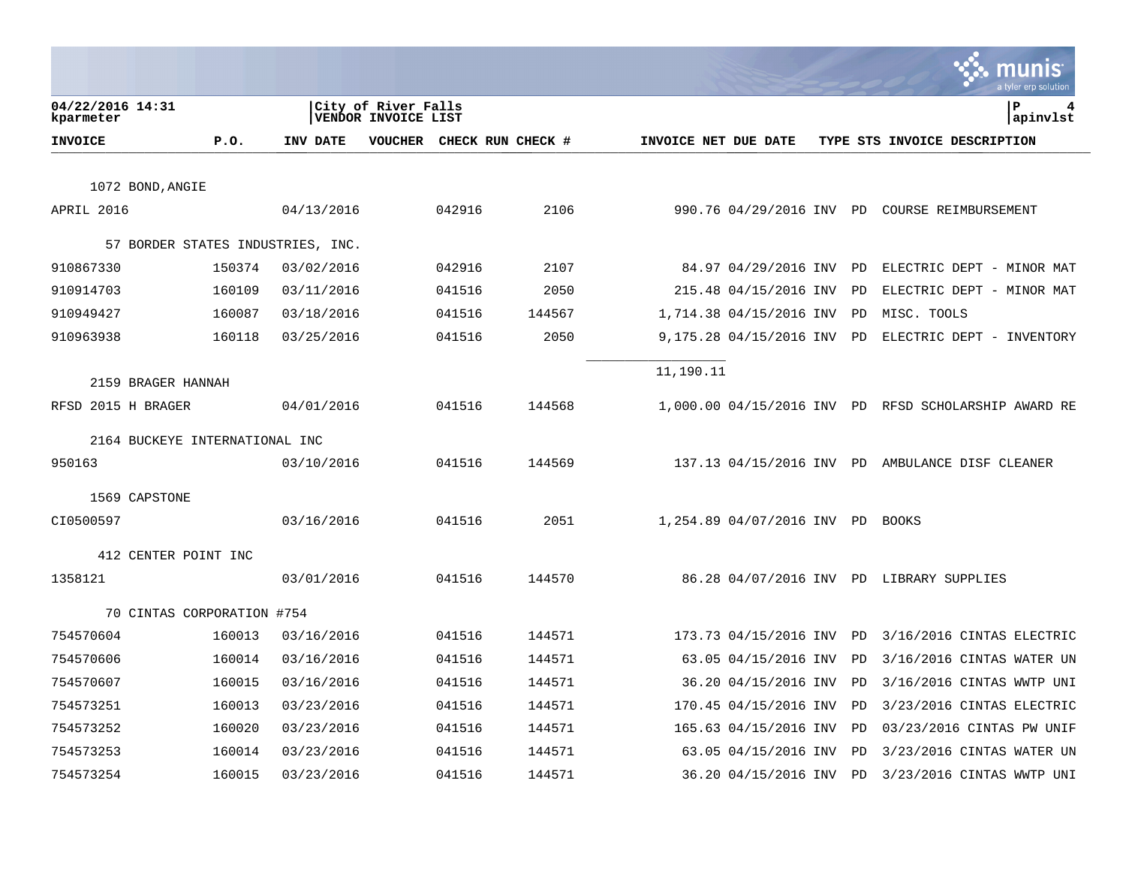|                                |                            |                                   |                                            |                   |                      |                                  |    | munis<br>a tyler erp solution                        |
|--------------------------------|----------------------------|-----------------------------------|--------------------------------------------|-------------------|----------------------|----------------------------------|----|------------------------------------------------------|
| 04/22/2016 14:31<br>kparmeter  |                            |                                   | City of River Falls<br>VENDOR INVOICE LIST |                   |                      |                                  |    | l P<br>4<br>apinvlst                                 |
| <b>INVOICE</b>                 | P.0.                       | INV DATE                          | <b>VOUCHER</b>                             | CHECK RUN CHECK # | INVOICE NET DUE DATE |                                  |    | TYPE STS INVOICE DESCRIPTION                         |
|                                |                            |                                   |                                            |                   |                      |                                  |    |                                                      |
| 1072 BOND, ANGIE               |                            |                                   |                                            |                   |                      |                                  |    |                                                      |
| APRIL 2016                     |                            | 04/13/2016                        | 042916                                     | 2106              |                      |                                  |    | 990.76 04/29/2016 INV PD COURSE REIMBURSEMENT        |
|                                |                            | 57 BORDER STATES INDUSTRIES, INC. |                                            |                   |                      |                                  |    |                                                      |
| 910867330                      | 150374                     | 03/02/2016                        | 042916                                     | 2107              |                      | 84.97 04/29/2016 INV             | PD | ELECTRIC DEPT - MINOR MAT                            |
| 910914703                      | 160109                     | 03/11/2016                        | 041516                                     | 2050              |                      | 215.48 04/15/2016 INV            | PD | ELECTRIC DEPT - MINOR MAT                            |
| 910949427                      | 160087                     | 03/18/2016                        | 041516                                     | 144567            |                      | 1,714.38 04/15/2016 INV          | PD | MISC. TOOLS                                          |
| 910963938                      | 160118                     | 03/25/2016                        | 041516                                     | 2050              |                      | 9,175.28 04/15/2016 INV          | PD | ELECTRIC DEPT - INVENTORY                            |
|                                |                            |                                   |                                            |                   | 11,190.11            |                                  |    |                                                      |
| 2159 BRAGER HANNAH             |                            |                                   |                                            |                   |                      |                                  |    |                                                      |
| RFSD 2015 H BRAGER             |                            | 04/01/2016                        | 041516                                     | 144568            |                      |                                  |    | 1,000.00 04/15/2016 INV PD RFSD SCHOLARSHIP AWARD RE |
| 2164 BUCKEYE INTERNATIONAL INC |                            |                                   |                                            |                   |                      |                                  |    |                                                      |
| 950163                         |                            | 03/10/2016                        | 041516                                     | 144569            |                      |                                  |    | 137.13 04/15/2016 INV PD AMBULANCE DISF CLEANER      |
|                                |                            |                                   |                                            |                   |                      |                                  |    |                                                      |
| 1569 CAPSTONE                  |                            |                                   |                                            |                   |                      |                                  |    |                                                      |
| CI0500597                      |                            | 03/16/2016                        | 041516                                     | 2051              |                      | 1,254.89 04/07/2016 INV PD BOOKS |    |                                                      |
| 412 CENTER POINT INC           |                            |                                   |                                            |                   |                      |                                  |    |                                                      |
| 1358121                        |                            | 03/01/2016                        | 041516                                     | 144570            |                      |                                  |    | 86.28 04/07/2016 INV PD LIBRARY SUPPLIES             |
|                                | 70 CINTAS CORPORATION #754 |                                   |                                            |                   |                      |                                  |    |                                                      |
| 754570604                      | 160013                     | 03/16/2016                        | 041516                                     | 144571            |                      | 173.73 04/15/2016 INV            | PD | 3/16/2016 CINTAS ELECTRIC                            |
| 754570606                      | 160014                     | 03/16/2016                        | 041516                                     | 144571            |                      | 63.05 04/15/2016 INV             | PD | 3/16/2016 CINTAS WATER UN                            |
| 754570607                      | 160015                     | 03/16/2016                        | 041516                                     | 144571            |                      | 36.20 04/15/2016 INV             | PD | 3/16/2016 CINTAS WWTP UNI                            |
| 754573251                      | 160013                     | 03/23/2016                        | 041516                                     | 144571            |                      | 170.45 04/15/2016 INV            | PD | 3/23/2016 CINTAS ELECTRIC                            |
| 754573252                      | 160020                     | 03/23/2016                        | 041516                                     | 144571            |                      | 165.63 04/15/2016 INV            | PD | 03/23/2016 CINTAS PW UNIF                            |
| 754573253                      | 160014                     | 03/23/2016                        | 041516                                     | 144571            |                      | 63.05 04/15/2016 INV             | PD | 3/23/2016 CINTAS WATER UN                            |
| 754573254                      | 160015                     | 03/23/2016                        | 041516                                     | 144571            |                      | 36.20 04/15/2016 INV             | PD | 3/23/2016 CINTAS WWTP UNI                            |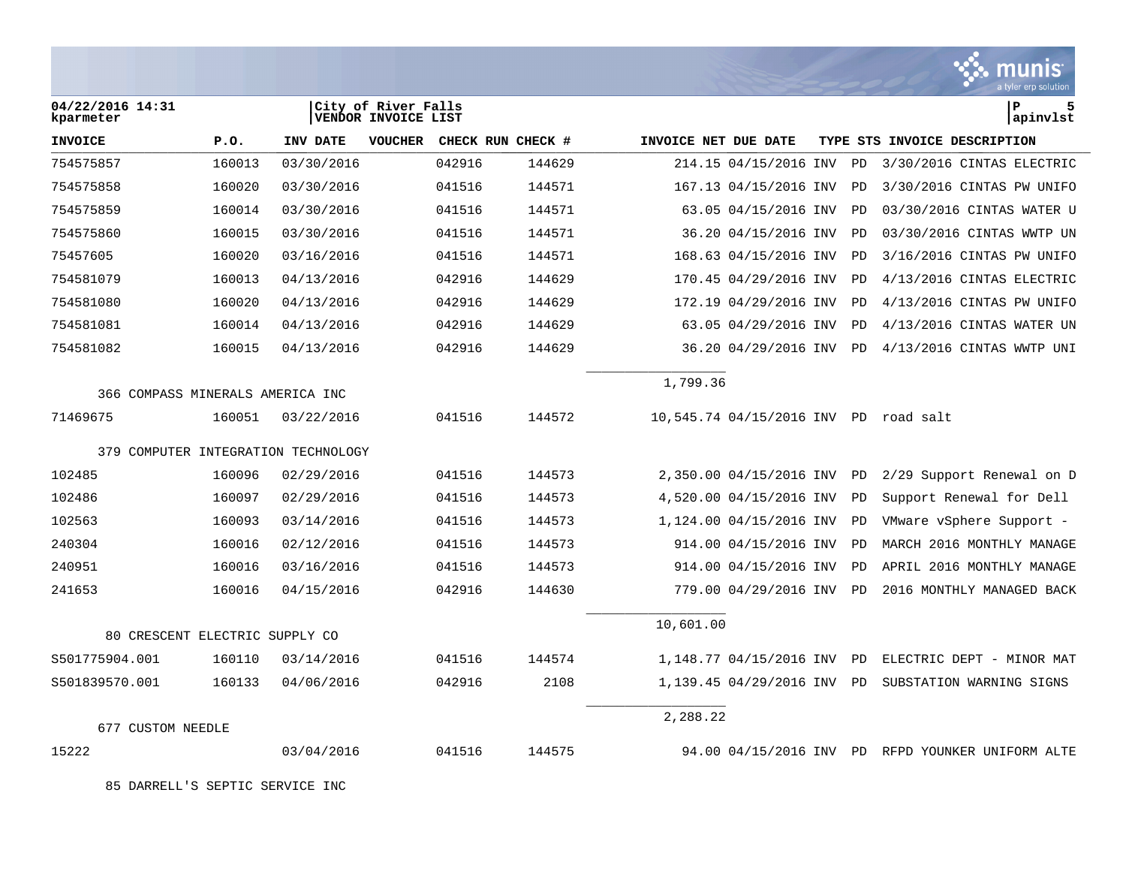|                                     |        |            |                                            |                   |        |                      |                          |           | munis<br>a tyler erp solution                     |
|-------------------------------------|--------|------------|--------------------------------------------|-------------------|--------|----------------------|--------------------------|-----------|---------------------------------------------------|
| 04/22/2016 14:31<br>kparmeter       |        |            | City of River Falls<br>VENDOR INVOICE LIST |                   |        |                      |                          |           | lР<br>5<br> apinvlst                              |
| <b>INVOICE</b>                      | P.0.   | INV DATE   | <b>VOUCHER</b>                             | CHECK RUN CHECK # |        | INVOICE NET DUE DATE |                          |           | TYPE STS INVOICE DESCRIPTION                      |
| 754575857                           | 160013 | 03/30/2016 |                                            | 042916            | 144629 |                      | 214.15 04/15/2016 INV    | PD        | 3/30/2016 CINTAS ELECTRIC                         |
| 754575858                           | 160020 | 03/30/2016 |                                            | 041516            | 144571 |                      | 167.13 04/15/2016 INV    | PD        | 3/30/2016 CINTAS PW UNIFO                         |
| 754575859                           | 160014 | 03/30/2016 |                                            | 041516            | 144571 |                      | 63.05 04/15/2016 INV     | PD        | 03/30/2016 CINTAS WATER U                         |
| 754575860                           | 160015 | 03/30/2016 |                                            | 041516            | 144571 |                      | 36.20 04/15/2016 INV     | PD        | 03/30/2016 CINTAS WWTP UN                         |
| 75457605                            | 160020 | 03/16/2016 |                                            | 041516            | 144571 |                      | 168.63 04/15/2016 INV    | <b>PD</b> | 3/16/2016 CINTAS PW UNIFO                         |
| 754581079                           | 160013 | 04/13/2016 |                                            | 042916            | 144629 |                      | 170.45 04/29/2016 INV    | PD        | 4/13/2016 CINTAS ELECTRIC                         |
| 754581080                           | 160020 | 04/13/2016 |                                            | 042916            | 144629 |                      | 172.19 04/29/2016 INV    | PD        | 4/13/2016 CINTAS PW UNIFO                         |
| 754581081                           | 160014 | 04/13/2016 |                                            | 042916            | 144629 |                      | 63.05 04/29/2016 INV     | PD        | 4/13/2016 CINTAS WATER UN                         |
| 754581082                           | 160015 | 04/13/2016 |                                            | 042916            | 144629 |                      | 36.20 04/29/2016 INV     | <b>PD</b> | 4/13/2016 CINTAS WWTP UNI                         |
| 366 COMPASS MINERALS AMERICA INC    |        |            |                                            |                   |        | 1,799.36             |                          |           |                                                   |
| 71469675                            | 160051 | 03/22/2016 |                                            | 041516            | 144572 |                      | 10,545.74 04/15/2016 INV | PD        | road salt                                         |
| 379 COMPUTER INTEGRATION TECHNOLOGY |        |            |                                            |                   |        |                      |                          |           |                                                   |
| 102485                              | 160096 | 02/29/2016 |                                            | 041516            | 144573 |                      | 2,350.00 04/15/2016 INV  | <b>PD</b> | 2/29 Support Renewal on D                         |
| 102486                              | 160097 | 02/29/2016 |                                            | 041516            | 144573 |                      | 4,520.00 04/15/2016 INV  | PD        | Support Renewal for Dell                          |
| 102563                              | 160093 | 03/14/2016 |                                            | 041516            | 144573 |                      | 1,124.00 04/15/2016 INV  | PD        | VMware vSphere Support -                          |
| 240304                              | 160016 | 02/12/2016 |                                            | 041516            | 144573 |                      | 914.00 04/15/2016 INV    | PD        | MARCH 2016 MONTHLY MANAGE                         |
| 240951                              | 160016 | 03/16/2016 |                                            | 041516            | 144573 |                      | 914.00 04/15/2016 INV    | <b>PD</b> | APRIL 2016 MONTHLY MANAGE                         |
| 241653                              | 160016 | 04/15/2016 |                                            | 042916            | 144630 |                      | 779.00 04/29/2016 INV    | <b>PD</b> | 2016 MONTHLY MANAGED BACK                         |
| 80 CRESCENT ELECTRIC SUPPLY CO      |        |            |                                            |                   |        | 10,601.00            |                          |           |                                                   |
| S501775904.001                      | 160110 | 03/14/2016 |                                            | 041516            | 144574 |                      | 1,148.77 04/15/2016 INV  | <b>PD</b> | ELECTRIC DEPT - MINOR MAT                         |
| S501839570.001                      | 160133 | 04/06/2016 |                                            | 042916            | 2108   |                      | 1,139.45 04/29/2016 INV  | <b>PD</b> | SUBSTATION WARNING SIGNS                          |
|                                     |        |            |                                            |                   |        |                      |                          |           |                                                   |
| 677 CUSTOM NEEDLE                   |        |            |                                            |                   |        | 2,288.22             |                          |           |                                                   |
| 15222                               |        | 03/04/2016 |                                            | 041516            | 144575 |                      |                          |           | 94.00 04/15/2016 INV PD RFPD YOUNKER UNIFORM ALTE |

 $\mathcal{L}$ 

85 DARRELL'S SEPTIC SERVICE INC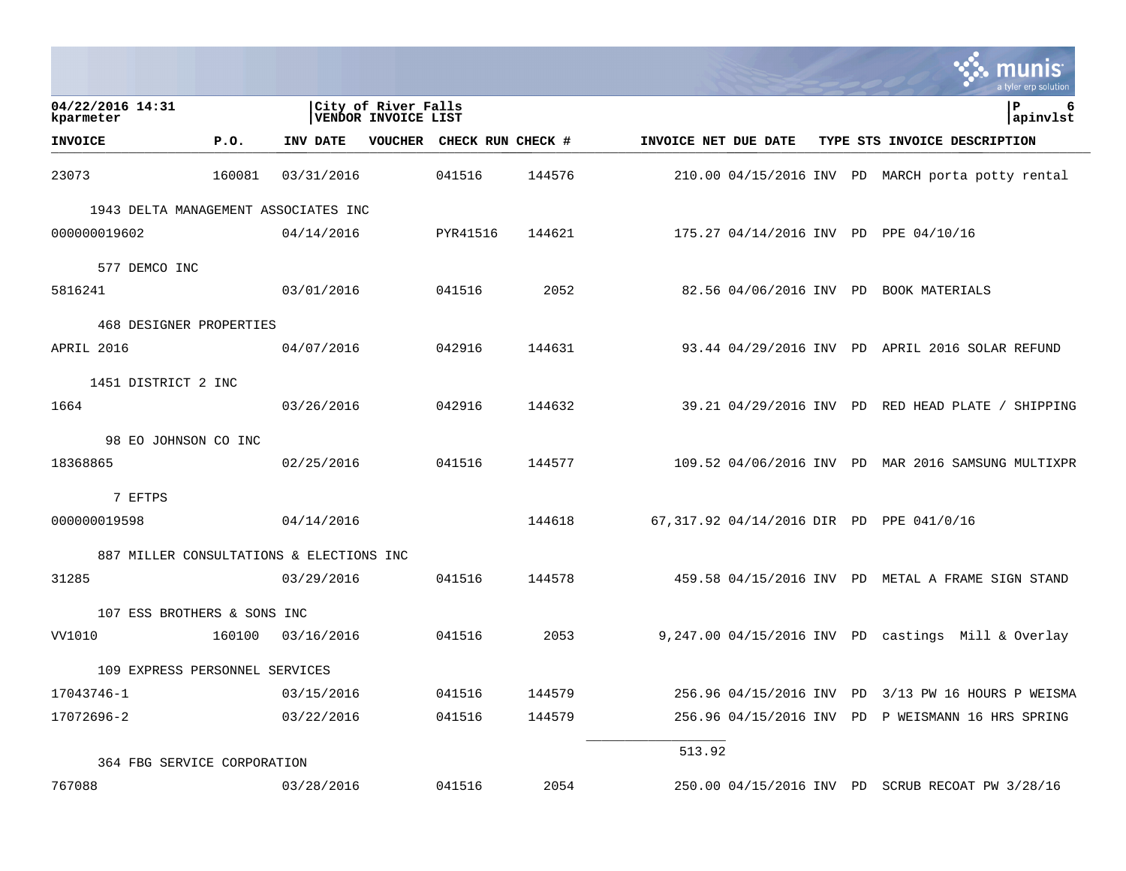|                                          |        |            |                                            |                   |        |                      |                         | a tyler erp solution                                 |
|------------------------------------------|--------|------------|--------------------------------------------|-------------------|--------|----------------------|-------------------------|------------------------------------------------------|
| 04/22/2016 14:31<br>kparmeter            |        |            | City of River Falls<br>VENDOR INVOICE LIST |                   |        |                      |                         | P<br>6<br>apinvlst                                   |
| <b>INVOICE</b>                           | P.0.   | INV DATE   | VOUCHER                                    | CHECK RUN CHECK # |        | INVOICE NET DUE DATE |                         | TYPE STS INVOICE DESCRIPTION                         |
| 23073                                    | 160081 | 03/31/2016 |                                            | 041516            | 144576 |                      |                         | 210.00 04/15/2016 INV PD MARCH porta potty rental    |
| 1943 DELTA MANAGEMENT ASSOCIATES INC     |        |            |                                            |                   |        |                      |                         |                                                      |
| 000000019602                             |        | 04/14/2016 |                                            | PYR41516          | 144621 |                      |                         | 175.27 04/14/2016 INV PD PPE 04/10/16                |
| 577 DEMCO INC                            |        |            |                                            |                   |        |                      |                         |                                                      |
| 5816241                                  |        | 03/01/2016 |                                            | 041516            | 2052   |                      | 82.56 04/06/2016 INV PD | BOOK MATERIALS                                       |
| 468 DESIGNER PROPERTIES                  |        |            |                                            |                   |        |                      |                         |                                                      |
| APRIL 2016                               |        | 04/07/2016 |                                            | 042916            | 144631 |                      |                         | 93.44 04/29/2016 INV PD APRIL 2016 SOLAR REFUND      |
| 1451 DISTRICT 2 INC                      |        |            |                                            |                   |        |                      |                         |                                                      |
| 1664                                     |        | 03/26/2016 |                                            | 042916            | 144632 |                      |                         | 39.21 04/29/2016 INV PD RED HEAD PLATE / SHIPPING    |
| 98 EO JOHNSON CO INC                     |        |            |                                            |                   |        |                      |                         |                                                      |
| 18368865                                 |        | 02/25/2016 |                                            | 041516            | 144577 |                      |                         | 109.52 04/06/2016 INV PD MAR 2016 SAMSUNG MULTIXPR   |
| 7 EFTPS                                  |        |            |                                            |                   |        |                      |                         |                                                      |
| 000000019598                             |        | 04/14/2016 |                                            |                   | 144618 |                      |                         | 67,317.92 04/14/2016 DIR PD PPE 041/0/16             |
| 887 MILLER CONSULTATIONS & ELECTIONS INC |        |            |                                            |                   |        |                      |                         |                                                      |
| 31285                                    |        | 03/29/2016 |                                            | 041516            | 144578 |                      |                         | 459.58 04/15/2016 INV PD METAL A FRAME SIGN STAND    |
| 107 ESS BROTHERS & SONS INC              |        |            |                                            |                   |        |                      |                         |                                                      |
| VV1010                                   | 160100 | 03/16/2016 |                                            | 041516            | 2053   |                      |                         | $9,247.00$ 04/15/2016 INV PD castings Mill & Overlay |
| 109 EXPRESS PERSONNEL SERVICES           |        |            |                                            |                   |        |                      |                         |                                                      |
| 17043746-1                               |        | 03/15/2016 |                                            | 041516            | 144579 |                      |                         | 256.96 04/15/2016 INV PD 3/13 PW 16 HOURS P WEISMA   |
| 17072696-2                               |        | 03/22/2016 |                                            | 041516            | 144579 |                      |                         | 256.96 04/15/2016 INV PD P WEISMANN 16 HRS SPRING    |
| 364 FBG SERVICE CORPORATION              |        |            |                                            |                   |        | 513.92               |                         |                                                      |
| 767088                                   |        | 03/28/2016 |                                            | 041516            | 2054   |                      |                         | 250.00 04/15/2016 INV PD SCRUB RECOAT PW 3/28/16     |

 $\mathcal{L}^{\text{max}}$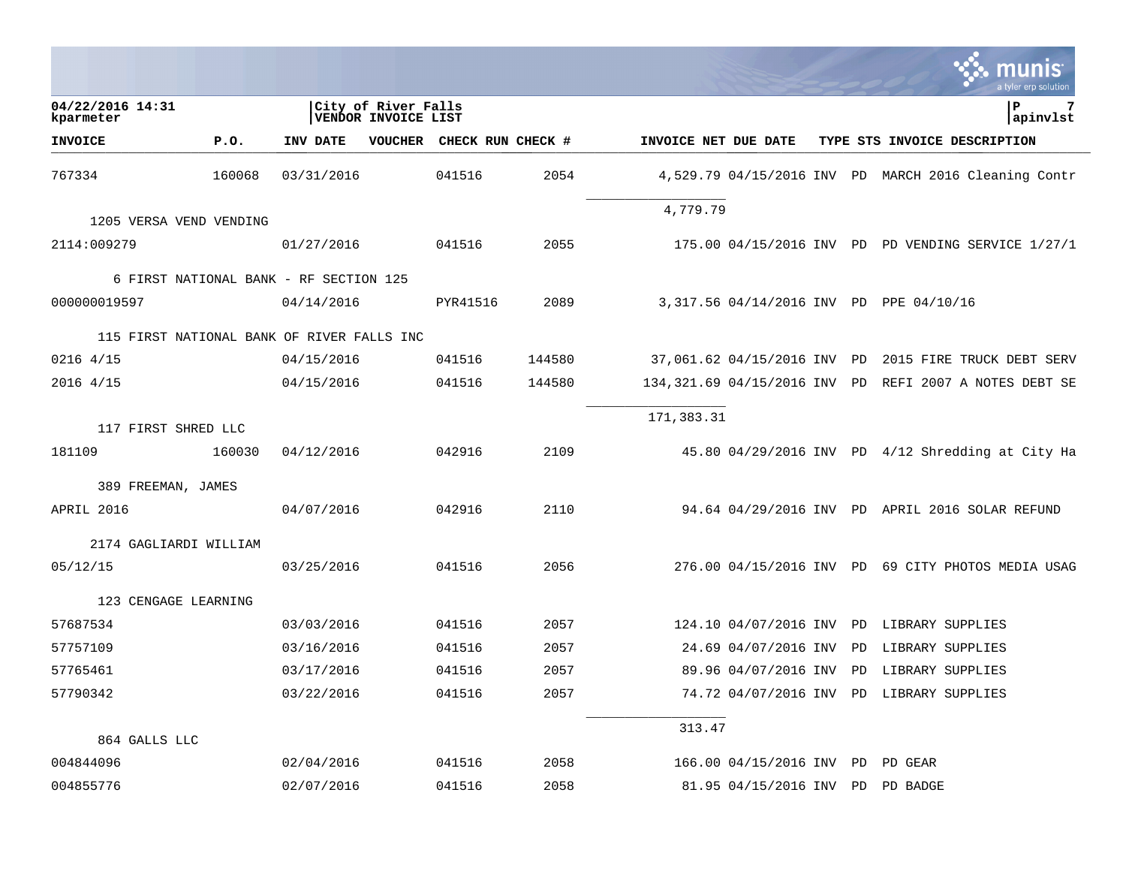|                                            |        |                                        |                                            |                   |        |                           |                             |           | I tyler erp solutior                                 |
|--------------------------------------------|--------|----------------------------------------|--------------------------------------------|-------------------|--------|---------------------------|-----------------------------|-----------|------------------------------------------------------|
| 04/22/2016 14:31<br>kparmeter              |        |                                        | City of River Falls<br>VENDOR INVOICE LIST |                   |        |                           |                             |           | ΙP<br> apinvlst                                      |
| <b>INVOICE</b>                             | P.0.   | INV DATE                               | <b>VOUCHER</b>                             | CHECK RUN CHECK # |        | INVOICE NET DUE DATE      |                             |           | TYPE STS INVOICE DESCRIPTION                         |
| 767334                                     | 160068 | 03/31/2016                             |                                            | 041516            | 2054   |                           |                             |           | 4,529.79 04/15/2016 INV PD MARCH 2016 Cleaning Contr |
| 1205 VERSA VEND VENDING                    |        |                                        |                                            |                   |        | 4,779.79                  |                             |           |                                                      |
| 2114:009279                                |        | 01/27/2016                             |                                            | 041516            | 2055   |                           |                             |           | 175.00 04/15/2016 INV PD PD VENDING SERVICE 1/27/1   |
|                                            |        | 6 FIRST NATIONAL BANK - RF SECTION 125 |                                            |                   |        |                           |                             |           |                                                      |
| 000000019597                               |        | 04/14/2016                             |                                            | PYR41516          | 2089   |                           |                             |           | 3,317.56 04/14/2016 INV PD PPE 04/10/16              |
| 115 FIRST NATIONAL BANK OF RIVER FALLS INC |        |                                        |                                            |                   |        |                           |                             |           |                                                      |
| 0216 4/15                                  |        | 04/15/2016                             |                                            | 041516            | 144580 |                           | 37,061.62 04/15/2016 INV PD |           | 2015 FIRE TRUCK DEBT SERV                            |
| 2016 4/15                                  |        | 04/15/2016                             |                                            | 041516            | 144580 | 134,321.69 04/15/2016 INV |                             | PD        | REFI 2007 A NOTES DEBT SE                            |
|                                            |        |                                        |                                            |                   |        | 171,383.31                |                             |           |                                                      |
| 117 FIRST SHRED LLC<br>181109              | 160030 | 04/12/2016                             |                                            | 042916            | 2109   |                           |                             |           | 45.80 04/29/2016 INV PD 4/12 Shredding at City Ha    |
|                                            |        |                                        |                                            |                   |        |                           |                             |           |                                                      |
| 389 FREEMAN, JAMES                         |        |                                        |                                            |                   |        |                           |                             |           |                                                      |
| APRIL 2016                                 |        | 04/07/2016                             |                                            | 042916            | 2110   |                           |                             |           | 94.64 04/29/2016 INV PD APRIL 2016 SOLAR REFUND      |
| 2174 GAGLIARDI WILLIAM                     |        |                                        |                                            |                   |        |                           |                             |           |                                                      |
| 05/12/15                                   |        | 03/25/2016                             |                                            | 041516            | 2056   |                           |                             |           | 276.00 04/15/2016 INV PD 69 CITY PHOTOS MEDIA USAG   |
| 123 CENGAGE LEARNING                       |        |                                        |                                            |                   |        |                           |                             |           |                                                      |
| 57687534                                   |        | 03/03/2016                             |                                            | 041516            | 2057   |                           | 124.10 04/07/2016 INV       | <b>PD</b> | LIBRARY SUPPLIES                                     |
| 57757109                                   |        | 03/16/2016                             |                                            | 041516            | 2057   |                           | 24.69 04/07/2016 INV        | PD        | LIBRARY SUPPLIES                                     |
| 57765461                                   |        | 03/17/2016                             |                                            | 041516            | 2057   |                           | 89.96 04/07/2016 INV        | PD        | LIBRARY SUPPLIES                                     |
| 57790342                                   |        | 03/22/2016                             |                                            | 041516            | 2057   |                           | 74.72 04/07/2016 INV        |           | PD LIBRARY SUPPLIES                                  |
| 864 GALLS LLC                              |        |                                        |                                            |                   |        | 313.47                    |                             |           |                                                      |
| 004844096                                  |        | 02/04/2016                             |                                            | 041516            | 2058   |                           | 166.00 04/15/2016 INV       | <b>PD</b> | PD GEAR                                              |
|                                            |        |                                        |                                            |                   |        |                           |                             |           |                                                      |
| 004855776                                  |        | 02/07/2016                             |                                            | 041516            | 2058   |                           | 81.95 04/15/2016 INV PD     |           | PD BADGE                                             |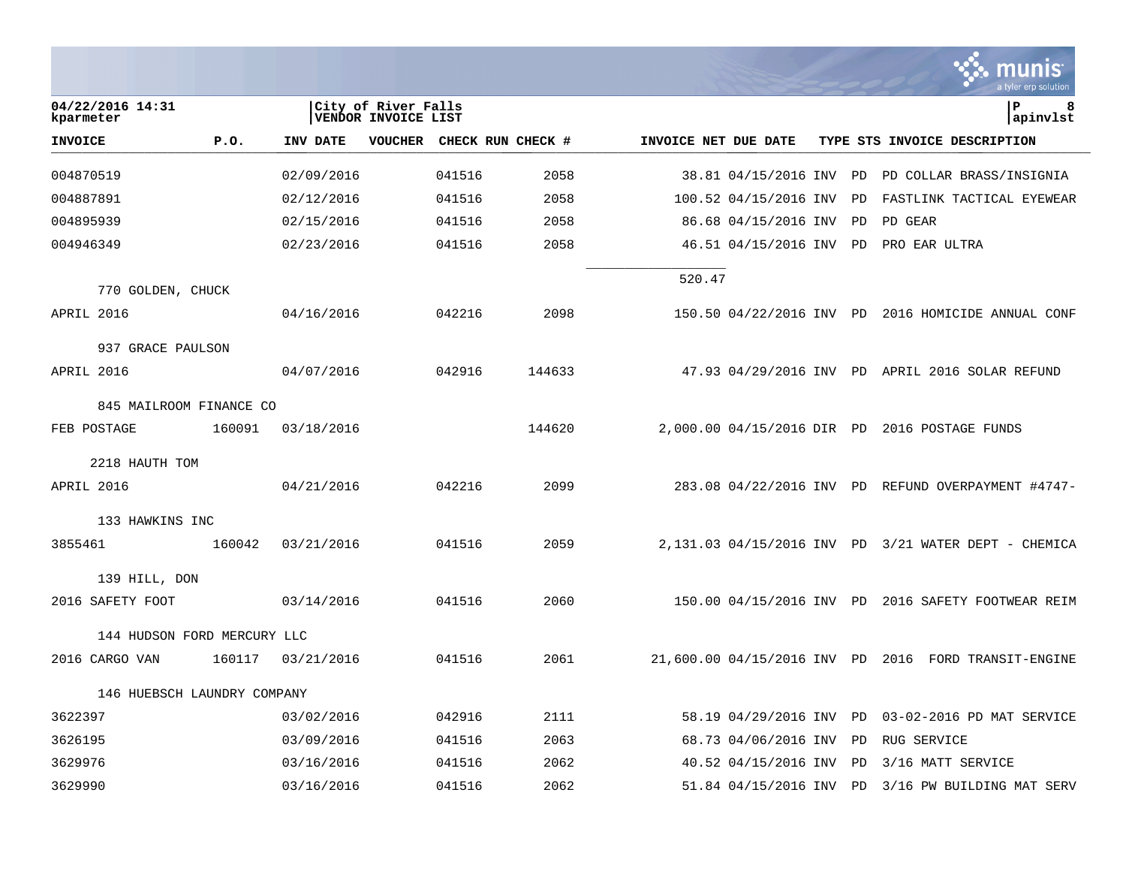|                               |        |            |                                            |        |                   |                      |                         |    | IS<br>a tyler erp solution                           |
|-------------------------------|--------|------------|--------------------------------------------|--------|-------------------|----------------------|-------------------------|----|------------------------------------------------------|
| 04/22/2016 14:31<br>kparmeter |        |            | City of River Falls<br>VENDOR INVOICE LIST |        |                   |                      |                         |    | l P<br>8<br>apinvlst                                 |
| <b>INVOICE</b>                | P.0.   | INV DATE   | <b>VOUCHER</b>                             |        | CHECK RUN CHECK # | INVOICE NET DUE DATE |                         |    | TYPE STS INVOICE DESCRIPTION                         |
| 004870519                     |        | 02/09/2016 |                                            | 041516 | 2058              |                      | 38.81 04/15/2016 INV    | PD | PD COLLAR BRASS/INSIGNIA                             |
| 004887891                     |        | 02/12/2016 |                                            | 041516 | 2058              |                      | 100.52 04/15/2016 INV   | PD | FASTLINK TACTICAL EYEWEAR                            |
| 004895939                     |        | 02/15/2016 |                                            | 041516 | 2058              |                      | 86.68 04/15/2016 INV    | PD | PD GEAR                                              |
| 004946349                     |        | 02/23/2016 |                                            | 041516 | 2058              |                      | 46.51 04/15/2016 INV PD |    | PRO EAR ULTRA                                        |
|                               |        |            |                                            |        |                   | 520.47               |                         |    |                                                      |
| 770 GOLDEN, CHUCK             |        |            |                                            |        |                   |                      |                         |    |                                                      |
| APRIL 2016                    |        | 04/16/2016 |                                            | 042216 | 2098              |                      |                         |    | 150.50 04/22/2016 INV PD 2016 HOMICIDE ANNUAL CONF   |
| 937 GRACE PAULSON             |        |            |                                            |        |                   |                      |                         |    |                                                      |
| APRIL 2016                    |        | 04/07/2016 |                                            | 042916 | 144633            |                      |                         |    | 47.93 04/29/2016 INV PD APRIL 2016 SOLAR REFUND      |
| 845 MAILROOM FINANCE CO       |        |            |                                            |        |                   |                      |                         |    |                                                      |
| FEB POSTAGE                   | 160091 | 03/18/2016 |                                            |        | 144620            |                      |                         |    | 2,000.00 04/15/2016 DIR PD 2016 POSTAGE FUNDS        |
| 2218 HAUTH TOM                |        |            |                                            |        |                   |                      |                         |    |                                                      |
| APRIL 2016                    |        | 04/21/2016 |                                            | 042216 | 2099              |                      |                         |    | 283.08 04/22/2016 INV PD REFUND OVERPAYMENT #4747-   |
| 133 HAWKINS INC               |        |            |                                            |        |                   |                      |                         |    |                                                      |
| 3855461                       | 160042 | 03/21/2016 |                                            | 041516 | 2059              |                      |                         |    | 2,131.03 04/15/2016 INV PD 3/21 WATER DEPT - CHEMICA |
| 139 HILL, DON                 |        |            |                                            |        |                   |                      |                         |    |                                                      |
| 2016 SAFETY FOOT              |        | 03/14/2016 |                                            | 041516 | 2060              |                      |                         |    | 150.00 04/15/2016 INV PD 2016 SAFETY FOOTWEAR REIM   |
| 144 HUDSON FORD MERCURY LLC   |        |            |                                            |        |                   |                      |                         |    |                                                      |
| 2016 CARGO VAN                | 160117 | 03/21/2016 |                                            | 041516 | 2061              |                      |                         |    | 21,600.00 04/15/2016 INV PD 2016 FORD TRANSIT-ENGINE |
| 146 HUEBSCH LAUNDRY COMPANY   |        |            |                                            |        |                   |                      |                         |    |                                                      |
| 3622397                       |        | 03/02/2016 |                                            | 042916 | 2111              |                      | 58.19 04/29/2016 INV PD |    | 03-02-2016 PD MAT SERVICE                            |
| 3626195                       |        | 03/09/2016 |                                            | 041516 | 2063              |                      | 68.73 04/06/2016 INV    | PD | RUG SERVICE                                          |
| 3629976                       |        | 03/16/2016 |                                            | 041516 | 2062              |                      | 40.52 04/15/2016 INV    | PD | 3/16 MATT SERVICE                                    |
| 3629990                       |        | 03/16/2016 |                                            | 041516 | 2062              |                      | 51.84 04/15/2016 INV PD |    | 3/16 PW BUILDING MAT SERV                            |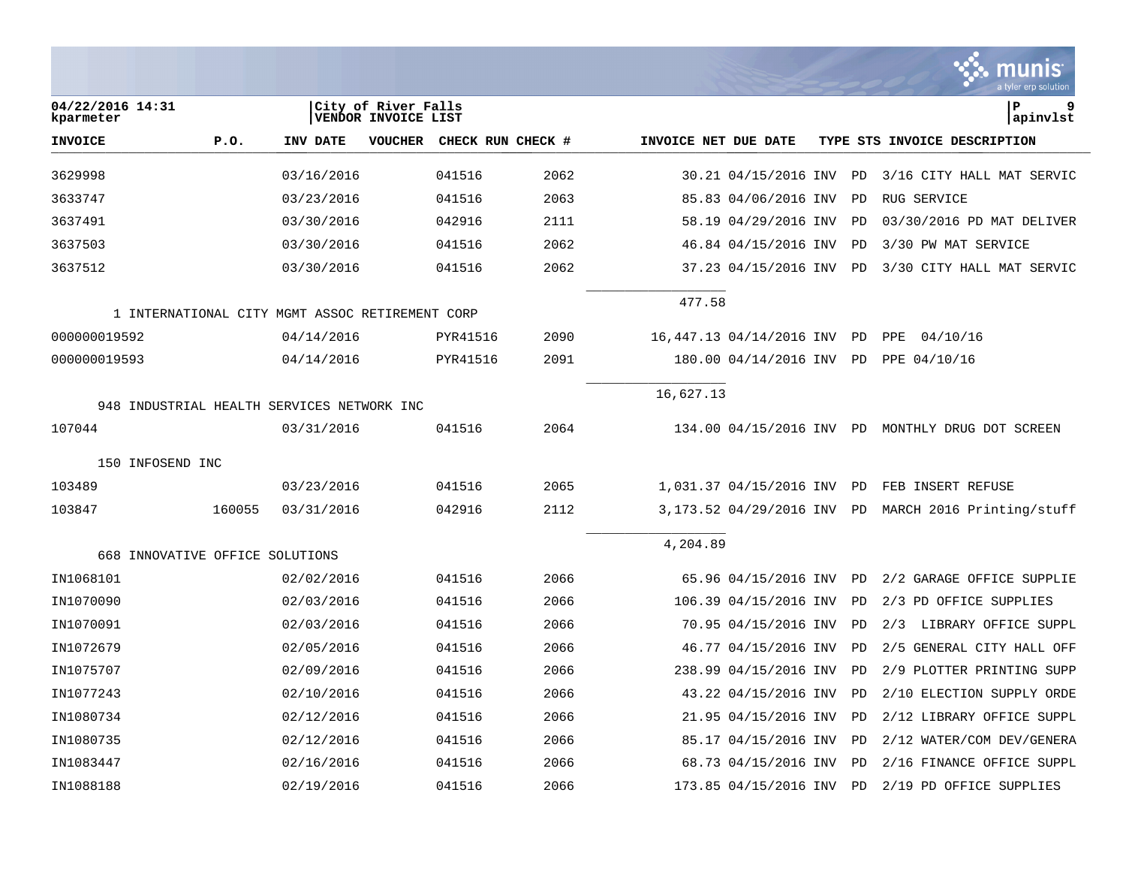|                                 |        |                                                 |                                            |                   |      |                      |                          |           | munis<br>a tyler erp solution                    |
|---------------------------------|--------|-------------------------------------------------|--------------------------------------------|-------------------|------|----------------------|--------------------------|-----------|--------------------------------------------------|
| 04/22/2016 14:31<br>kparmeter   |        |                                                 | City of River Falls<br>VENDOR INVOICE LIST |                   |      |                      |                          |           | l P<br>9<br> apinvlst                            |
| <b>INVOICE</b>                  | P.0.   | <b>INV DATE</b>                                 | VOUCHER                                    | CHECK RUN CHECK # |      | INVOICE NET DUE DATE |                          |           | TYPE STS INVOICE DESCRIPTION                     |
| 3629998                         |        | 03/16/2016                                      |                                            | 041516            | 2062 |                      | 30.21 04/15/2016 INV     | PD        | 3/16 CITY HALL MAT SERVIC                        |
| 3633747                         |        | 03/23/2016                                      |                                            | 041516            | 2063 |                      | 85.83 04/06/2016 INV     | PD        | RUG SERVICE                                      |
| 3637491                         |        | 03/30/2016                                      |                                            | 042916            | 2111 |                      | 58.19 04/29/2016 INV     | PD        | 03/30/2016 PD MAT DELIVER                        |
| 3637503                         |        | 03/30/2016                                      |                                            | 041516            | 2062 |                      | 46.84 04/15/2016 INV     | PD        | 3/30 PW MAT SERVICE                              |
| 3637512                         |        | 03/30/2016                                      |                                            | 041516            | 2062 |                      | 37.23 04/15/2016 INV     | PD        | 3/30 CITY HALL MAT SERVIC                        |
|                                 |        | 1 INTERNATIONAL CITY MGMT ASSOC RETIREMENT CORP |                                            |                   |      | 477.58               |                          |           |                                                  |
| 000000019592                    |        | 04/14/2016                                      |                                            | PYR41516          | 2090 |                      | 16,447.13 04/14/2016 INV | PD        | PPE<br>04/10/16                                  |
| 000000019593                    |        | 04/14/2016                                      |                                            | PYR41516          | 2091 |                      | 180.00 04/14/2016 INV    | PD        | PPE 04/10/16                                     |
|                                 |        |                                                 |                                            |                   |      | 16,627.13            |                          |           |                                                  |
|                                 |        | 948 INDUSTRIAL HEALTH SERVICES NETWORK INC      |                                            |                   |      |                      |                          |           |                                                  |
| 107044                          |        | 03/31/2016                                      |                                            | 041516            | 2064 |                      |                          |           | 134.00 04/15/2016 INV PD MONTHLY DRUG DOT SCREEN |
| 150 INFOSEND INC                |        |                                                 |                                            |                   |      |                      |                          |           |                                                  |
| 103489                          |        | 03/23/2016                                      |                                            | 041516            | 2065 |                      | 1,031.37 04/15/2016 INV  | PD        | FEB INSERT REFUSE                                |
| 103847                          | 160055 | 03/31/2016                                      |                                            | 042916            | 2112 |                      | 3,173.52 04/29/2016 INV  | PD        | MARCH 2016 Printing/stuff                        |
| 668 INNOVATIVE OFFICE SOLUTIONS |        |                                                 |                                            |                   |      | 4,204.89             |                          |           |                                                  |
| IN1068101                       |        | 02/02/2016                                      |                                            | 041516            | 2066 |                      | 65.96 04/15/2016 INV     | PD        | 2/2 GARAGE OFFICE SUPPLIE                        |
| IN1070090                       |        | 02/03/2016                                      |                                            | 041516            | 2066 |                      | 106.39 04/15/2016 INV    | PD        | 2/3 PD OFFICE SUPPLIES                           |
| IN1070091                       |        | 02/03/2016                                      |                                            | 041516            | 2066 |                      | 70.95 04/15/2016 INV     | PD        | 2/3<br>LIBRARY OFFICE SUPPL                      |
| IN1072679                       |        | 02/05/2016                                      |                                            | 041516            | 2066 |                      | 46.77 04/15/2016 INV     | PD        | GENERAL CITY HALL OFF<br>2/5                     |
| IN1075707                       |        | 02/09/2016                                      |                                            | 041516            | 2066 |                      | 238.99 04/15/2016 INV    | PD        | 2/9 PLOTTER PRINTING SUPP                        |
| IN1077243                       |        | 02/10/2016                                      |                                            | 041516            | 2066 |                      | 43.22 04/15/2016 INV     | PD        | 2/10 ELECTION SUPPLY ORDE                        |
| IN1080734                       |        | 02/12/2016                                      |                                            | 041516            | 2066 |                      | 21.95 04/15/2016 INV     | <b>PD</b> | 2/12 LIBRARY OFFICE SUPPL                        |
| IN1080735                       |        | 02/12/2016                                      |                                            | 041516            | 2066 |                      | 85.17 04/15/2016 INV     | PD        | 2/12 WATER/COM DEV/GENERA                        |
| IN1083447                       |        | 02/16/2016                                      |                                            | 041516            | 2066 |                      | 68.73 04/15/2016 INV     | <b>PD</b> | 2/16 FINANCE OFFICE SUPPL                        |
| IN1088188                       |        | 02/19/2016                                      |                                            | 041516            | 2066 |                      | 173.85 04/15/2016 INV    | PD        | 2/19 PD OFFICE SUPPLIES                          |

and the control of the control of the control of

**Tara**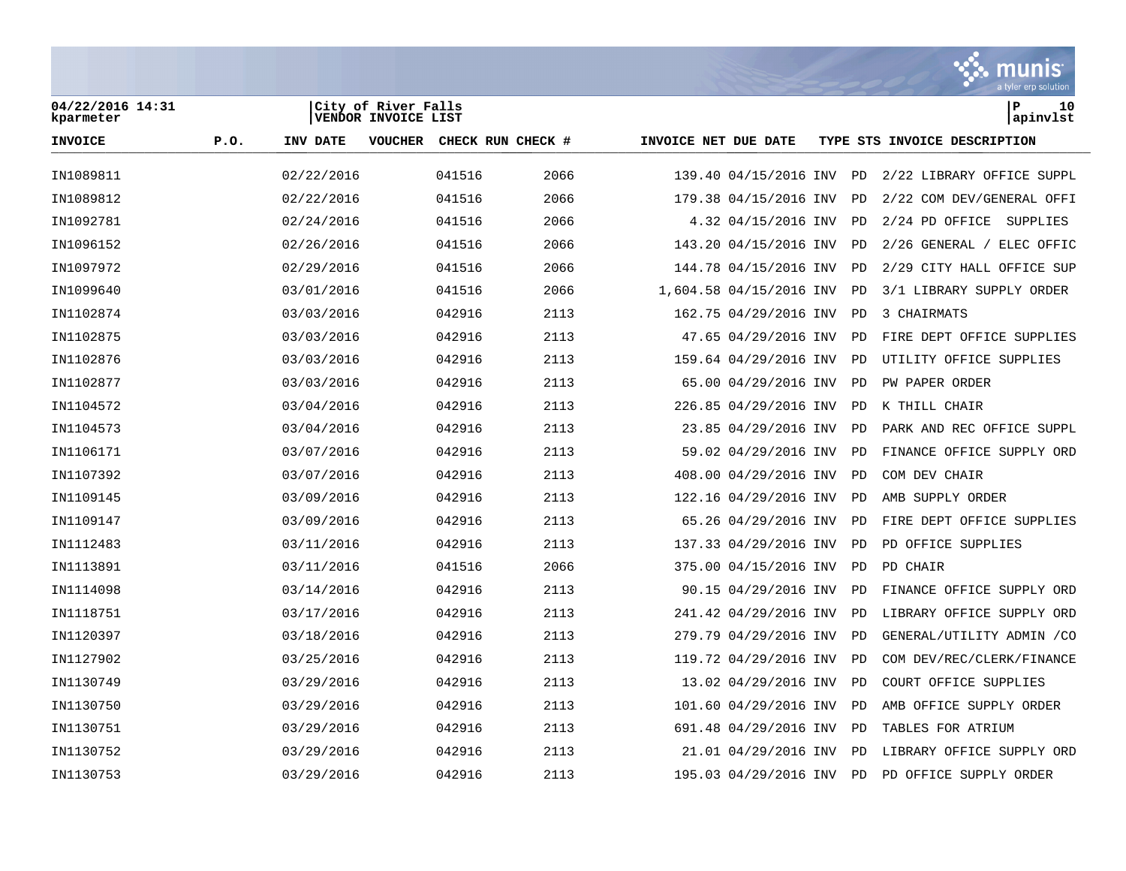

| 04/22/2016 14:31<br>kparmeter |      |            | City of River Falls<br>VENDOR INVOICE LIST |                           |      |                      |                         |           | l P<br>10<br>apinvlst        |
|-------------------------------|------|------------|--------------------------------------------|---------------------------|------|----------------------|-------------------------|-----------|------------------------------|
| <b>INVOICE</b>                | P.O. | INV DATE   |                                            | VOUCHER CHECK RUN CHECK # |      | INVOICE NET DUE DATE |                         |           | TYPE STS INVOICE DESCRIPTION |
| IN1089811                     |      | 02/22/2016 |                                            | 041516                    | 2066 |                      | 139.40 04/15/2016 INV   | PD        | 2/22 LIBRARY OFFICE SUPPL    |
| IN1089812                     |      | 02/22/2016 |                                            | 041516                    | 2066 |                      | 179.38 04/15/2016 INV   | PD        | 2/22 COM DEV/GENERAL OFFI    |
| IN1092781                     |      | 02/24/2016 |                                            | 041516                    | 2066 |                      | 4.32 04/15/2016 INV     | PD        | 2/24 PD OFFICE<br>SUPPLIES   |
| IN1096152                     |      | 02/26/2016 |                                            | 041516                    | 2066 |                      | 143.20 04/15/2016 INV   | PD        | 2/26 GENERAL / ELEC OFFIC    |
| IN1097972                     |      | 02/29/2016 |                                            | 041516                    | 2066 |                      | 144.78 04/15/2016 INV   | <b>PD</b> | 2/29 CITY HALL OFFICE SUP    |
| IN1099640                     |      | 03/01/2016 |                                            | 041516                    | 2066 |                      | 1,604.58 04/15/2016 INV | PD        | 3/1 LIBRARY SUPPLY ORDER     |
| IN1102874                     |      | 03/03/2016 |                                            | 042916                    | 2113 |                      | 162.75 04/29/2016 INV   | PD        | 3 CHAIRMATS                  |
| IN1102875                     |      | 03/03/2016 |                                            | 042916                    | 2113 |                      | 47.65 04/29/2016 INV    | PD        | FIRE DEPT OFFICE SUPPLIES    |
| IN1102876                     |      | 03/03/2016 |                                            | 042916                    | 2113 |                      | 159.64 04/29/2016 INV   | PD        | UTILITY OFFICE SUPPLIES      |
| IN1102877                     |      | 03/03/2016 |                                            | 042916                    | 2113 |                      | 65.00 04/29/2016 INV    | PD        | PW PAPER ORDER               |
| IN1104572                     |      | 03/04/2016 |                                            | 042916                    | 2113 |                      | 226.85 04/29/2016 INV   | <b>PD</b> | K THILL CHAIR                |
| IN1104573                     |      | 03/04/2016 |                                            | 042916                    | 2113 |                      | 23.85 04/29/2016 INV    | PD        | PARK AND REC OFFICE SUPPL    |
| IN1106171                     |      | 03/07/2016 |                                            | 042916                    | 2113 |                      | 59.02 04/29/2016 INV    | PD        | FINANCE OFFICE SUPPLY ORD    |
| IN1107392                     |      | 03/07/2016 |                                            | 042916                    | 2113 |                      | 408.00 04/29/2016 INV   | PD        | COM DEV CHAIR                |
| IN1109145                     |      | 03/09/2016 |                                            | 042916                    | 2113 |                      | 122.16 04/29/2016 INV   | PD        | AMB SUPPLY ORDER             |
| IN1109147                     |      | 03/09/2016 |                                            | 042916                    | 2113 |                      | 65.26 04/29/2016 INV    | PD        | FIRE DEPT OFFICE SUPPLIES    |
| IN1112483                     |      | 03/11/2016 |                                            | 042916                    | 2113 |                      | 137.33 04/29/2016 INV   | PD        | PD OFFICE SUPPLIES           |
| IN1113891                     |      | 03/11/2016 |                                            | 041516                    | 2066 |                      | 375.00 04/15/2016 INV   | PD        | PD CHAIR                     |
| IN1114098                     |      | 03/14/2016 |                                            | 042916                    | 2113 |                      | 90.15 04/29/2016 INV    | PD        | FINANCE OFFICE SUPPLY ORD    |
| IN1118751                     |      | 03/17/2016 |                                            | 042916                    | 2113 |                      | 241.42 04/29/2016 INV   | PD        | LIBRARY OFFICE SUPPLY ORD    |
| IN1120397                     |      | 03/18/2016 |                                            | 042916                    | 2113 |                      | 279.79 04/29/2016 INV   | PD        | GENERAL/UTILITY ADMIN / CO   |
| IN1127902                     |      | 03/25/2016 |                                            | 042916                    | 2113 |                      | 119.72 04/29/2016 INV   | PD        | COM DEV/REC/CLERK/FINANCE    |
| IN1130749                     |      | 03/29/2016 |                                            | 042916                    | 2113 |                      | 13.02 04/29/2016 INV    | PD        | COURT OFFICE SUPPLIES        |
| IN1130750                     |      | 03/29/2016 |                                            | 042916                    | 2113 |                      | 101.60 04/29/2016 INV   | PD        | AMB OFFICE SUPPLY ORDER      |
| IN1130751                     |      | 03/29/2016 |                                            | 042916                    | 2113 |                      | 691.48 04/29/2016 INV   | PD        | TABLES FOR ATRIUM            |
| IN1130752                     |      | 03/29/2016 |                                            | 042916                    | 2113 |                      | 21.01 04/29/2016 INV    | PD        | LIBRARY OFFICE SUPPLY ORD    |
| IN1130753                     |      | 03/29/2016 |                                            | 042916                    | 2113 |                      | 195.03 04/29/2016 INV   | PD        | PD OFFICE SUPPLY ORDER       |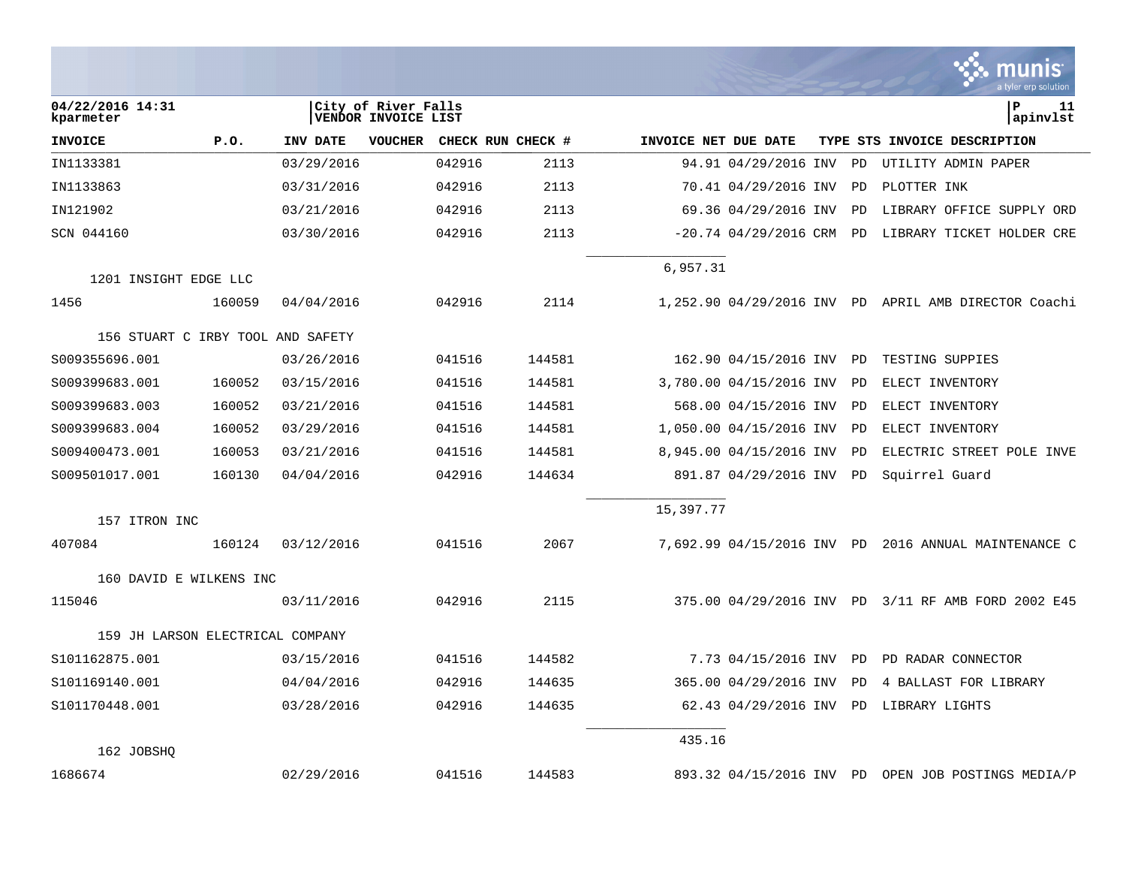|                                   |        |            |                                            |        |                   |                      |                            |           | nıs<br>a tvler erp solutior                          |
|-----------------------------------|--------|------------|--------------------------------------------|--------|-------------------|----------------------|----------------------------|-----------|------------------------------------------------------|
| 04/22/2016 14:31<br>kparmeter     |        |            | City of River Falls<br>VENDOR INVOICE LIST |        |                   |                      |                            |           | ΙP<br>11<br>apinvlst                                 |
| <b>INVOICE</b>                    | P.0.   | INV DATE   | <b>VOUCHER</b>                             |        | CHECK RUN CHECK # | INVOICE NET DUE DATE |                            |           | TYPE STS INVOICE DESCRIPTION                         |
| IN1133381                         |        | 03/29/2016 |                                            | 042916 | 2113              |                      | 94.91 04/29/2016 INV       | PD        | UTILITY ADMIN PAPER                                  |
| IN1133863                         |        | 03/31/2016 |                                            | 042916 | 2113              |                      | 70.41 04/29/2016 INV       | PD        | PLOTTER INK                                          |
| IN121902                          |        | 03/21/2016 |                                            | 042916 | 2113              |                      | 69.36 04/29/2016 INV       | <b>PD</b> | LIBRARY OFFICE SUPPLY ORD                            |
| SCN 044160                        |        | 03/30/2016 |                                            | 042916 | 2113              |                      | $-20.74$ 04/29/2016 CRM    | PD        | LIBRARY TICKET HOLDER CRE                            |
| 1201 INSIGHT EDGE LLC             |        |            |                                            |        |                   | 6,957.31             |                            |           |                                                      |
| 1456                              | 160059 | 04/04/2016 |                                            | 042916 | 2114              |                      |                            |           | 1,252.90 04/29/2016 INV PD APRIL AMB DIRECTOR Coachi |
| 156 STUART C IRBY TOOL AND SAFETY |        |            |                                            |        |                   |                      |                            |           |                                                      |
| S009355696.001                    |        | 03/26/2016 |                                            | 041516 | 144581            |                      | 162.90 04/15/2016 INV      | PD        | TESTING SUPPIES                                      |
| S009399683.001                    | 160052 | 03/15/2016 |                                            | 041516 | 144581            |                      | 3,780.00 04/15/2016 INV    | <b>PD</b> | ELECT INVENTORY                                      |
| S009399683.003                    | 160052 | 03/21/2016 |                                            | 041516 | 144581            |                      | 568.00 04/15/2016 INV      | PD        | ELECT INVENTORY                                      |
| S009399683.004                    | 160052 | 03/29/2016 |                                            | 041516 | 144581            |                      | 1,050.00 04/15/2016 INV    | PD        | ELECT INVENTORY                                      |
| S009400473.001                    | 160053 | 03/21/2016 |                                            | 041516 | 144581            |                      | 8,945.00 04/15/2016 INV    | <b>PD</b> | ELECTRIC STREET POLE INVE                            |
| S009501017.001                    | 160130 | 04/04/2016 |                                            | 042916 | 144634            |                      | 891.87 04/29/2016 INV      | <b>PD</b> | Squirrel Guard                                       |
| 157 ITRON INC                     |        |            |                                            |        |                   | 15,397.77            |                            |           |                                                      |
| 407084                            | 160124 | 03/12/2016 |                                            | 041516 | 2067              |                      | 7,692.99 04/15/2016 INV PD |           | 2016 ANNUAL MAINTENANCE C                            |
| 160 DAVID E WILKENS INC           |        |            |                                            |        |                   |                      |                            |           |                                                      |
| 115046                            |        | 03/11/2016 |                                            | 042916 | 2115              |                      | 375.00 04/29/2016 INV      |           | PD 3/11 RF AMB FORD 2002 E45                         |
| 159 JH LARSON ELECTRICAL COMPANY  |        |            |                                            |        |                   |                      |                            |           |                                                      |
| S101162875.001                    |        | 03/15/2016 |                                            | 041516 | 144582            |                      | 7.73 04/15/2016 INV        | PD        | PD RADAR CONNECTOR                                   |
| S101169140.001                    |        | 04/04/2016 |                                            | 042916 | 144635            |                      | 365.00 04/29/2016 INV      | <b>PD</b> | 4 BALLAST FOR LIBRARY                                |
| S101170448.001                    |        | 03/28/2016 |                                            | 042916 | 144635            |                      | 62.43 04/29/2016 INV       | PD        | LIBRARY LIGHTS                                       |
| 162 JOBSHO                        |        |            |                                            |        |                   | 435.16               |                            |           |                                                      |
| 1686674                           |        | 02/29/2016 |                                            | 041516 | 144583            |                      | 893.32 04/15/2016 INV PD   |           | OPEN JOB POSTINGS MEDIA/P                            |

 $\sim$ 

and a state and

the control of the control of the control of the con-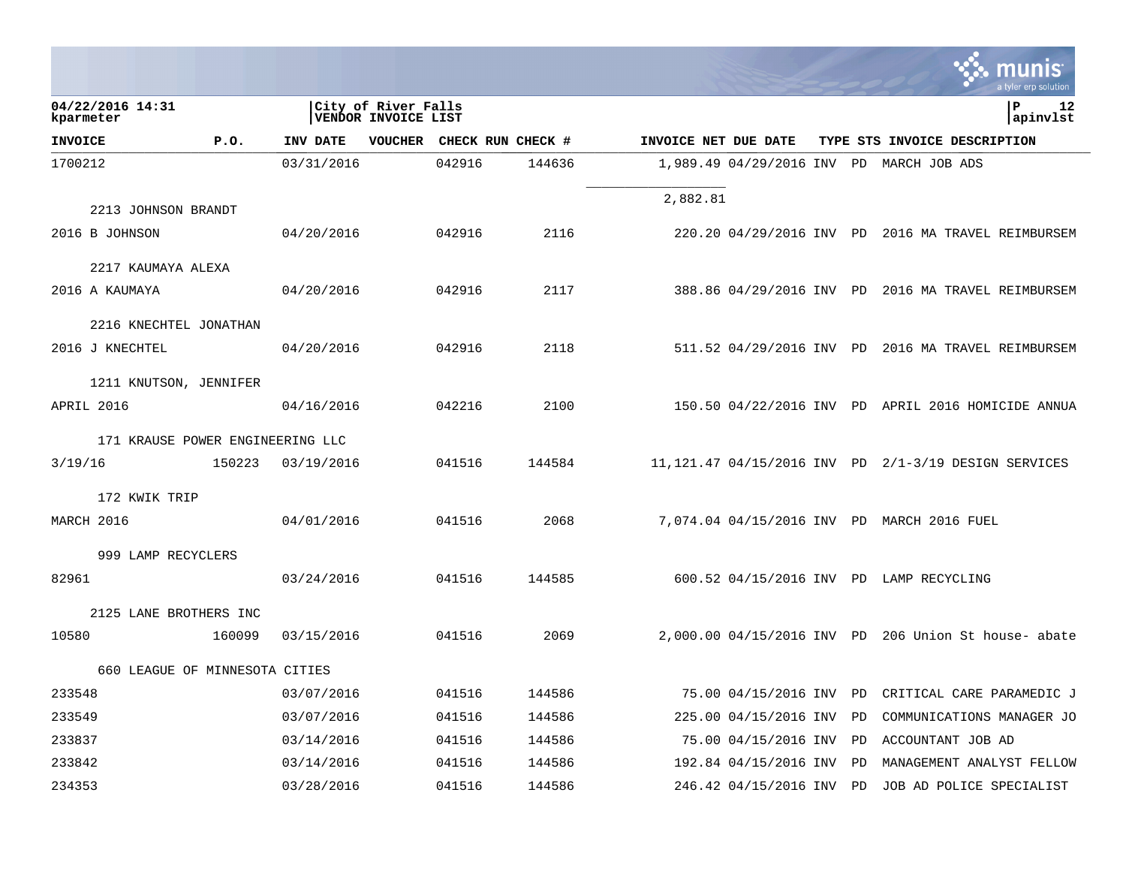|                                  |        |            |                                                   |                   |        |                      |                       |    | munis<br>a tyler erp solution                         |
|----------------------------------|--------|------------|---------------------------------------------------|-------------------|--------|----------------------|-----------------------|----|-------------------------------------------------------|
| 04/22/2016 14:31<br>kparmeter    |        |            | City of River Falls<br><b>VENDOR INVOICE LIST</b> |                   |        |                      |                       |    | lР<br>12<br>apinvlst                                  |
| <b>INVOICE</b>                   | P.0.   | INV DATE   | <b>VOUCHER</b>                                    | CHECK RUN CHECK # |        | INVOICE NET DUE DATE |                       |    | TYPE STS INVOICE DESCRIPTION                          |
| 1700212                          |        | 03/31/2016 |                                                   | 042916            | 144636 |                      |                       |    | 1,989.49 04/29/2016 INV PD MARCH JOB ADS              |
|                                  |        |            |                                                   |                   |        | 2,882.81             |                       |    |                                                       |
| 2213 JOHNSON BRANDT              |        |            |                                                   |                   |        |                      |                       |    |                                                       |
| 2016 B JOHNSON                   |        | 04/20/2016 |                                                   | 042916            | 2116   |                      |                       |    | 220.20 04/29/2016 INV PD 2016 MA TRAVEL REIMBURSEM    |
| 2217 KAUMAYA ALEXA               |        |            |                                                   |                   |        |                      |                       |    |                                                       |
| 2016 A KAUMAYA                   |        | 04/20/2016 |                                                   | 042916            | 2117   |                      |                       |    | 388.86 04/29/2016 INV PD 2016 MA TRAVEL REIMBURSEM    |
| 2216 KNECHTEL JONATHAN           |        |            |                                                   |                   |        |                      |                       |    |                                                       |
| 2016 J KNECHTEL                  |        | 04/20/2016 |                                                   | 042916            | 2118   |                      |                       |    | 511.52 04/29/2016 INV PD 2016 MA TRAVEL REIMBURSEM    |
| 1211 KNUTSON, JENNIFER           |        |            |                                                   |                   |        |                      |                       |    |                                                       |
| APRIL 2016                       |        | 04/16/2016 |                                                   | 042216            | 2100   |                      |                       |    | 150.50 04/22/2016 INV PD APRIL 2016 HOMICIDE ANNUA    |
| 171 KRAUSE POWER ENGINEERING LLC |        |            |                                                   |                   |        |                      |                       |    |                                                       |
| 3/19/16                          | 150223 | 03/19/2016 |                                                   | 041516            | 144584 |                      |                       |    | 11, 121.47 04/15/2016 INV PD 2/1-3/19 DESIGN SERVICES |
| 172 KWIK TRIP                    |        |            |                                                   |                   |        |                      |                       |    |                                                       |
| MARCH 2016                       |        | 04/01/2016 |                                                   | 041516            | 2068   |                      |                       |    | 7,074.04 04/15/2016 INV PD MARCH 2016 FUEL            |
| 999 LAMP RECYCLERS               |        |            |                                                   |                   |        |                      |                       |    |                                                       |
| 82961                            |        | 03/24/2016 |                                                   | 041516            | 144585 |                      |                       |    | 600.52 04/15/2016 INV PD LAMP RECYCLING               |
| 2125 LANE BROTHERS INC           |        |            |                                                   |                   |        |                      |                       |    |                                                       |
| 10580                            | 160099 | 03/15/2016 |                                                   | 041516            | 2069   |                      |                       |    | 2,000.00 04/15/2016 INV PD 206 Union St house- abate  |
| 660 LEAGUE OF MINNESOTA CITIES   |        |            |                                                   |                   |        |                      |                       |    |                                                       |
| 233548                           |        | 03/07/2016 |                                                   | 041516            | 144586 |                      | 75.00 04/15/2016 INV  | PD | CRITICAL CARE PARAMEDIC J                             |
| 233549                           |        | 03/07/2016 |                                                   | 041516            | 144586 |                      | 225.00 04/15/2016 INV | PD | COMMUNICATIONS MANAGER JO                             |
| 233837                           |        | 03/14/2016 |                                                   | 041516            | 144586 |                      | 75.00 04/15/2016 INV  | PD | ACCOUNTANT JOB AD                                     |
| 233842                           |        | 03/14/2016 |                                                   | 041516            | 144586 |                      | 192.84 04/15/2016 INV | PD | MANAGEMENT ANALYST FELLOW                             |
| 234353                           |        | 03/28/2016 |                                                   | 041516            | 144586 |                      | 246.42 04/15/2016 INV | PD | JOB AD POLICE SPECIALIST                              |

the contract of the contract of the contract of the contract of the contract of the contract of the contract of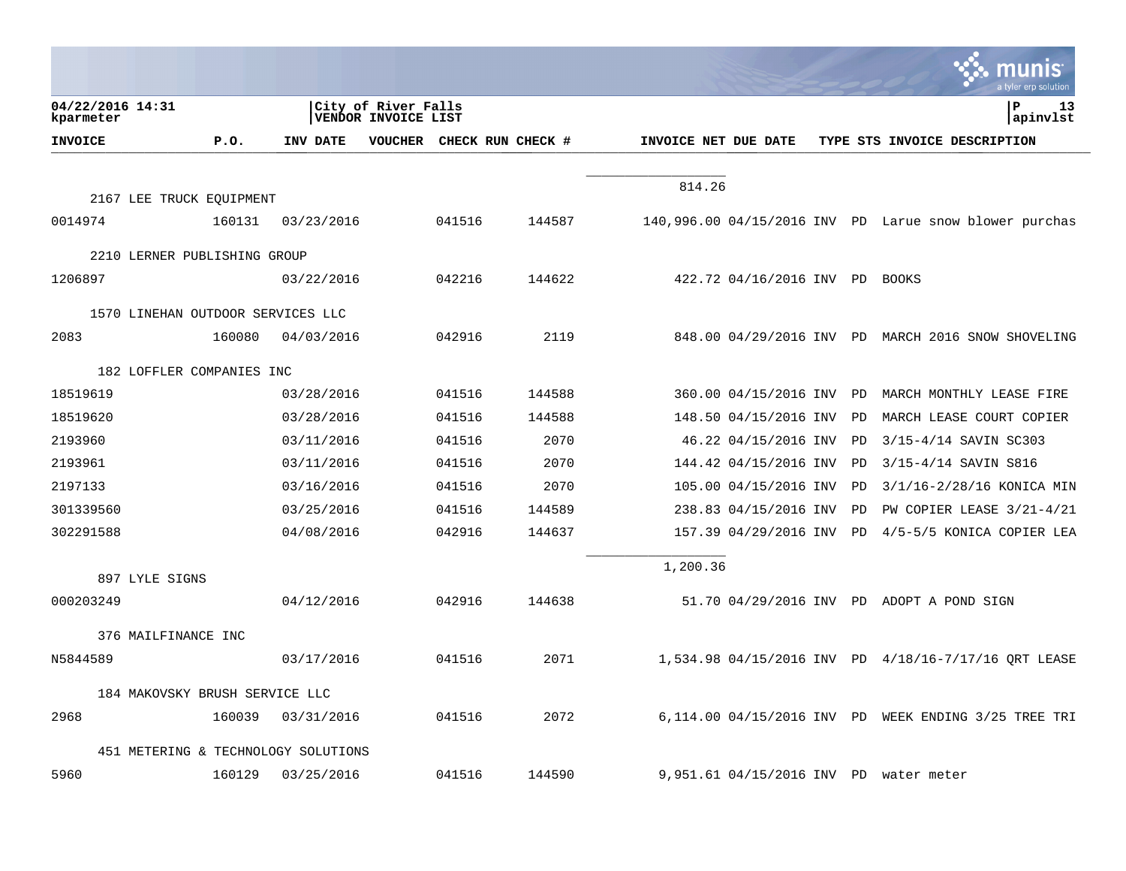|                                   |        |                                     |                                                   |        |                   |                      |                                |    | a tyler erp solutior                                   |
|-----------------------------------|--------|-------------------------------------|---------------------------------------------------|--------|-------------------|----------------------|--------------------------------|----|--------------------------------------------------------|
| 04/22/2016 14:31<br>kparmeter     |        |                                     | City of River Falls<br><b>VENDOR INVOICE LIST</b> |        |                   |                      |                                |    | ΙP<br>13<br>apinvlst                                   |
| <b>INVOICE</b>                    | P.O.   | INV DATE                            | <b>VOUCHER</b>                                    |        | CHECK RUN CHECK # | INVOICE NET DUE DATE |                                |    | TYPE STS INVOICE DESCRIPTION                           |
|                                   |        |                                     |                                                   |        |                   |                      |                                |    |                                                        |
| 2167 LEE TRUCK EQUIPMENT          |        |                                     |                                                   |        |                   | 814.26               |                                |    |                                                        |
| 0014974                           | 160131 | 03/23/2016                          |                                                   | 041516 | 144587            |                      |                                |    | 140,996.00 04/15/2016 INV PD Larue snow blower purchas |
| 2210 LERNER PUBLISHING GROUP      |        |                                     |                                                   |        |                   |                      |                                |    |                                                        |
| 1206897                           |        | 03/22/2016                          |                                                   | 042216 | 144622            |                      | 422.72 04/16/2016 INV PD BOOKS |    |                                                        |
| 1570 LINEHAN OUTDOOR SERVICES LLC |        |                                     |                                                   |        |                   |                      |                                |    |                                                        |
| 2083                              | 160080 | 04/03/2016                          |                                                   | 042916 | 2119              |                      |                                |    | 848.00 04/29/2016 INV PD MARCH 2016 SNOW SHOVELING     |
| 182 LOFFLER COMPANIES INC         |        |                                     |                                                   |        |                   |                      |                                |    |                                                        |
| 18519619                          |        | 03/28/2016                          |                                                   | 041516 | 144588            |                      | 360.00 04/15/2016 INV          | PD | MARCH MONTHLY LEASE FIRE                               |
| 18519620                          |        | 03/28/2016                          |                                                   | 041516 | 144588            |                      | 148.50 04/15/2016 INV          | PD | MARCH LEASE COURT COPIER                               |
| 2193960                           |        | 03/11/2016                          |                                                   | 041516 | 2070              |                      | 46.22 04/15/2016 INV           | PD | 3/15-4/14 SAVIN SC303                                  |
| 2193961                           |        | 03/11/2016                          |                                                   | 041516 | 2070              |                      | 144.42 04/15/2016 INV          | PD | 3/15-4/14 SAVIN S816                                   |
| 2197133                           |        | 03/16/2016                          |                                                   | 041516 | 2070              |                      | 105.00 04/15/2016 INV          | PD | 3/1/16-2/28/16 KONICA MIN                              |
| 301339560                         |        | 03/25/2016                          |                                                   | 041516 | 144589            |                      | 238.83 04/15/2016 INV          | PD | PW COPIER LEASE 3/21-4/21                              |
| 302291588                         |        | 04/08/2016                          |                                                   | 042916 | 144637            |                      | 157.39 04/29/2016 INV          | PD | 4/5-5/5 KONICA COPIER LEA                              |
| 897 LYLE SIGNS                    |        |                                     |                                                   |        |                   | 1,200.36             |                                |    |                                                        |
| 000203249                         |        | 04/12/2016                          |                                                   | 042916 | 144638            |                      |                                |    | 51.70 04/29/2016 INV PD ADOPT A POND SIGN              |
| 376 MAILFINANCE INC               |        |                                     |                                                   |        |                   |                      |                                |    |                                                        |
| N5844589                          |        | 03/17/2016                          |                                                   | 041516 | 2071              |                      |                                |    | 1,534.98 04/15/2016 INV PD 4/18/16-7/17/16 QRT LEASE   |
| 184 MAKOVSKY BRUSH SERVICE LLC    |        |                                     |                                                   |        |                   |                      |                                |    |                                                        |
| 2968                              | 160039 | 03/31/2016                          |                                                   | 041516 | 2072              |                      | 6,114.00 04/15/2016 INV PD     |    | WEEK ENDING 3/25 TREE TRI                              |
|                                   |        | 451 METERING & TECHNOLOGY SOLUTIONS |                                                   |        |                   |                      |                                |    |                                                        |
| 5960                              | 160129 | 03/25/2016                          |                                                   | 041516 | 144590            |                      | 9,951.61 04/15/2016 INV PD     |    | water meter                                            |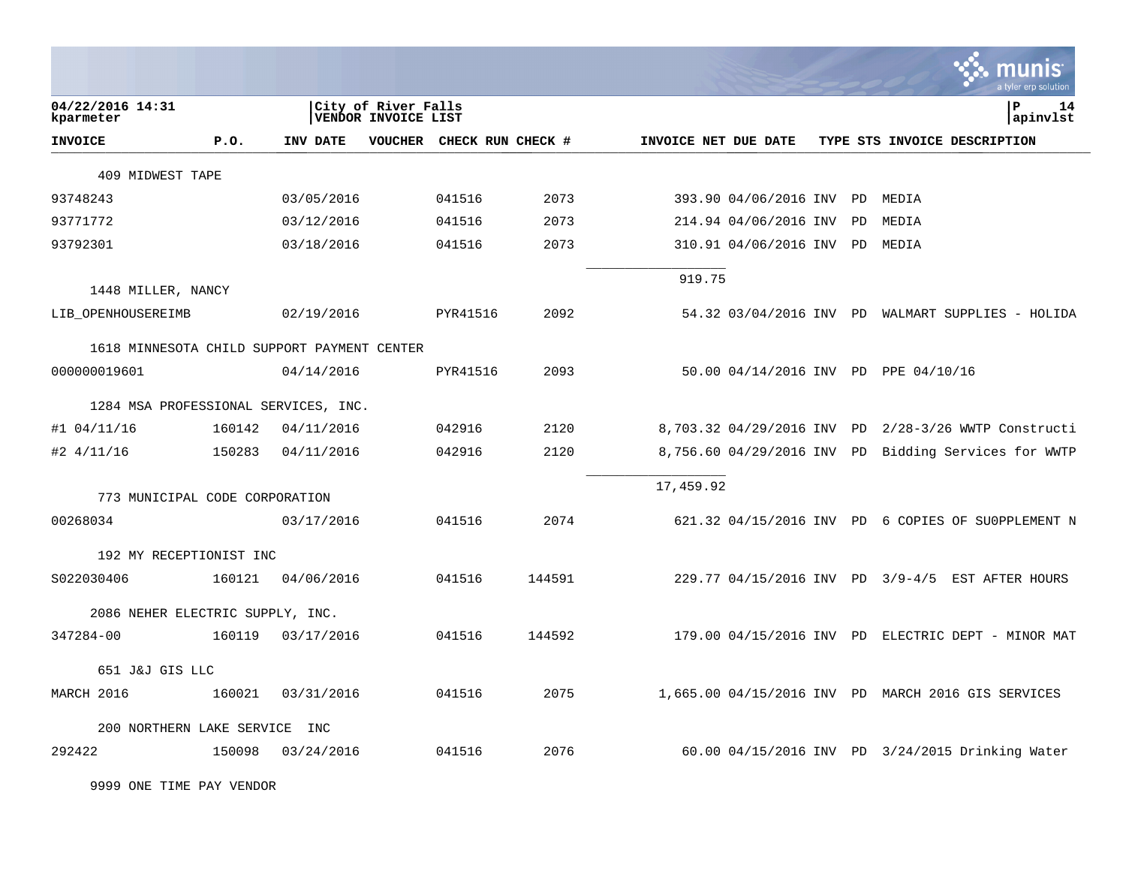|                                             |        |            |                                                   |                   |        |                      |                            |    | a tyler erp solution                               |
|---------------------------------------------|--------|------------|---------------------------------------------------|-------------------|--------|----------------------|----------------------------|----|----------------------------------------------------|
| 04/22/2016 14:31<br>kparmeter               |        |            | City of River Falls<br><b>VENDOR INVOICE LIST</b> |                   |        |                      |                            |    | ΙP<br>14<br>apinvlst                               |
| <b>INVOICE</b>                              | P.0.   | INV DATE   | VOUCHER                                           | CHECK RUN CHECK # |        | INVOICE NET DUE DATE |                            |    | TYPE STS INVOICE DESCRIPTION                       |
| 409 MIDWEST TAPE                            |        |            |                                                   |                   |        |                      |                            |    |                                                    |
| 93748243                                    |        | 03/05/2016 |                                                   | 041516            | 2073   |                      | 393.90 04/06/2016 INV PD   |    | MEDIA                                              |
| 93771772                                    |        | 03/12/2016 |                                                   | 041516            | 2073   |                      | 214.94 04/06/2016 INV      | PD | MEDIA                                              |
| 93792301                                    |        | 03/18/2016 |                                                   | 041516            | 2073   |                      | 310.91 04/06/2016 INV      | PD | MEDIA                                              |
|                                             |        |            |                                                   |                   |        | 919.75               |                            |    |                                                    |
| 1448 MILLER, NANCY<br>LIB_OPENHOUSEREIMB    |        | 02/19/2016 |                                                   | PYR41516          | 2092   |                      |                            |    | 54.32 03/04/2016 INV PD WALMART SUPPLIES - HOLIDA  |
| 1618 MINNESOTA CHILD SUPPORT PAYMENT CENTER |        |            |                                                   |                   |        |                      |                            |    |                                                    |
| 000000019601                                |        | 04/14/2016 |                                                   | PYR41516          | 2093   |                      |                            |    | 50.00 04/14/2016 INV PD PPE 04/10/16               |
| 1284 MSA PROFESSIONAL SERVICES, INC.        |        |            |                                                   |                   |        |                      |                            |    |                                                    |
| $#1$ 04/11/16                               | 160142 | 04/11/2016 |                                                   | 042916            | 2120   |                      | 8,703.32 04/29/2016 INV PD |    | 2/28-3/26 WWTP Constructi                          |
| $#2$ 4/11/16                                | 150283 | 04/11/2016 |                                                   | 042916            | 2120   |                      | 8,756.60 04/29/2016 INV PD |    | Bidding Services for WWTP                          |
| 773 MUNICIPAL CODE CORPORATION              |        |            |                                                   |                   |        | 17,459.92            |                            |    |                                                    |
| 00268034                                    |        | 03/17/2016 |                                                   | 041516            | 2074   |                      |                            |    | 621.32 04/15/2016 INV PD 6 COPIES OF SUOPPLEMENT N |
| 192 MY RECEPTIONIST INC                     |        |            |                                                   |                   |        |                      |                            |    |                                                    |
| S022030406                                  | 160121 | 04/06/2016 |                                                   | 041516            | 144591 |                      |                            |    | 229.77 04/15/2016 INV PD 3/9-4/5 EST AFTER HOURS   |
| 2086 NEHER ELECTRIC SUPPLY, INC.            |        |            |                                                   |                   |        |                      |                            |    |                                                    |
| 347284-00                                   | 160119 | 03/17/2016 |                                                   | 041516            | 144592 |                      |                            |    | 179.00 04/15/2016 INV PD ELECTRIC DEPT - MINOR MAT |
| 651 J&J GIS LLC                             |        |            |                                                   |                   |        |                      |                            |    |                                                    |
| MARCH 2016                                  | 160021 | 03/31/2016 |                                                   | 041516            | 2075   |                      |                            |    | 1,665.00 04/15/2016 INV PD MARCH 2016 GIS SERVICES |
| 200 NORTHERN LAKE SERVICE                   |        | INC        |                                                   |                   |        |                      |                            |    |                                                    |
| 292422                                      | 150098 | 03/24/2016 |                                                   | 041516            | 2076   |                      |                            |    | 60.00 04/15/2016 INV PD 3/24/2015 Drinking Water   |

9999 ONE TIME PAY VENDOR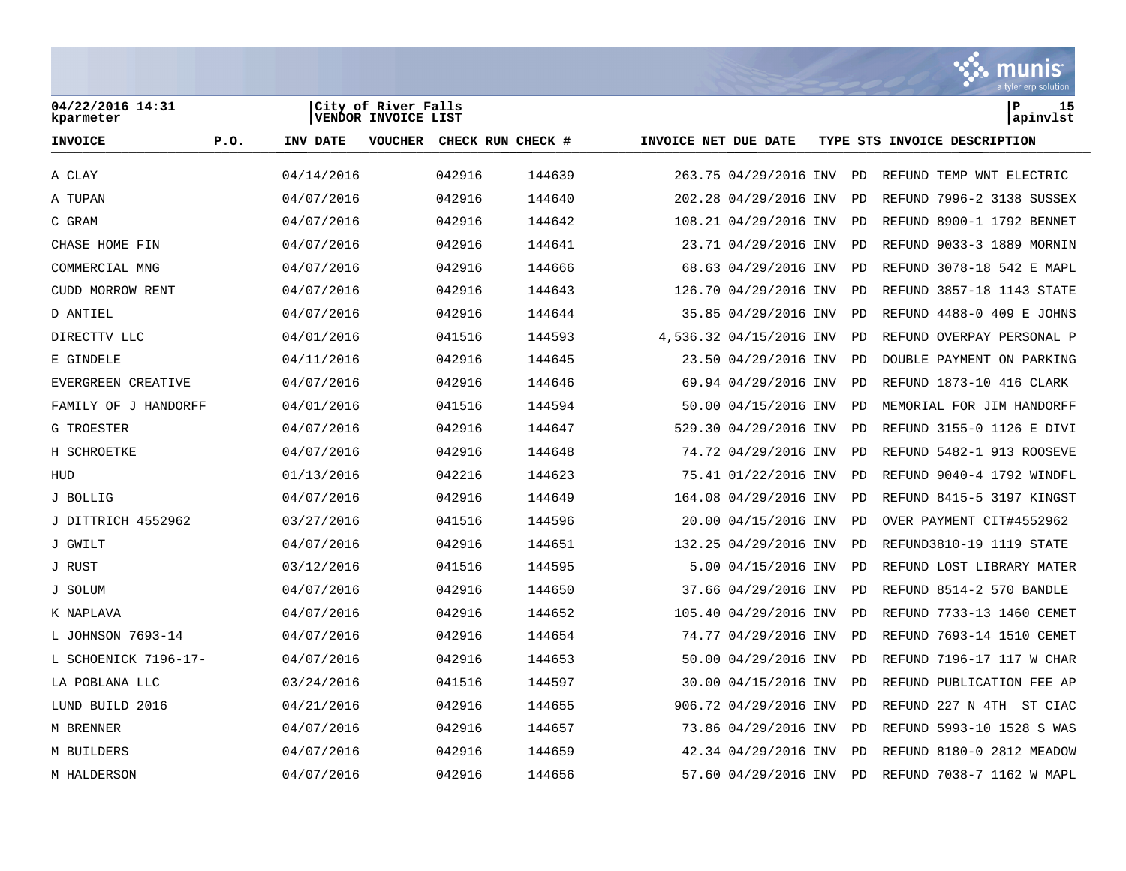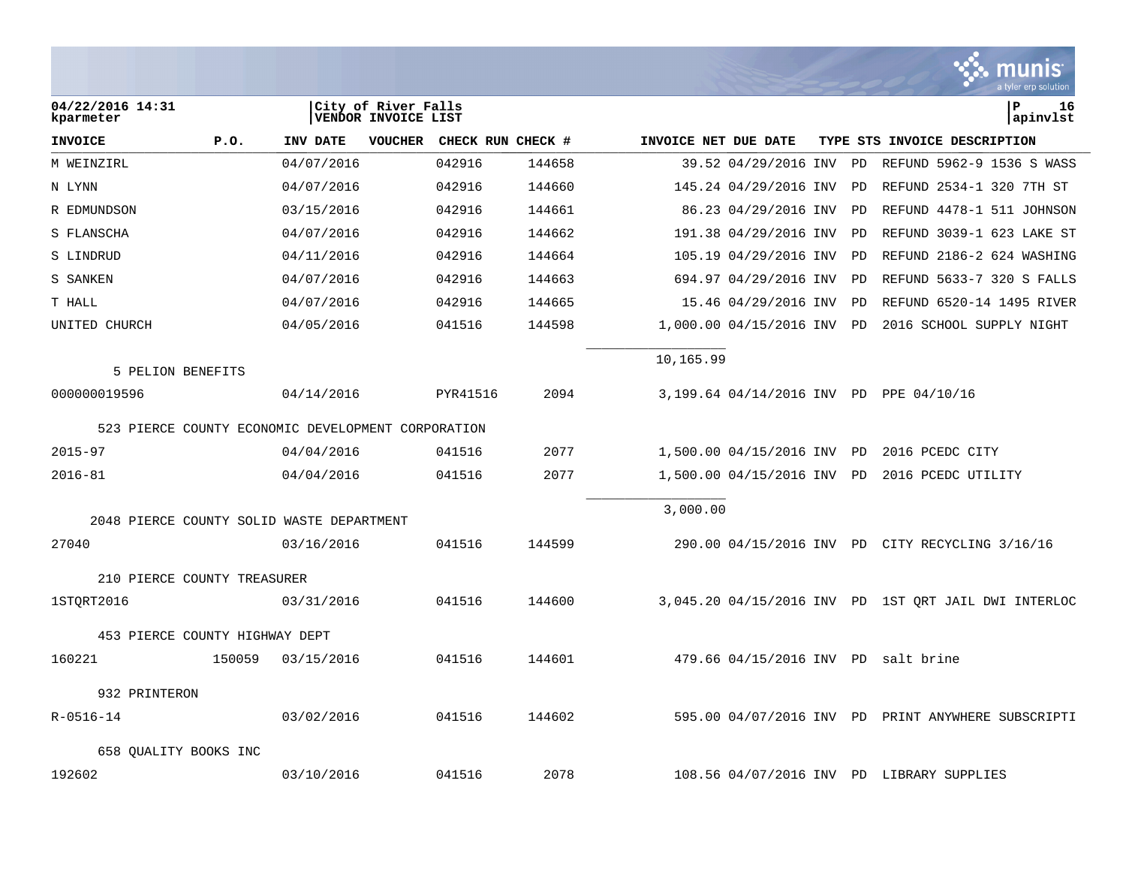|                                                    |        |            |                                            |                   |        |                      |                          |    | munis<br>a tyler erp solution                        |
|----------------------------------------------------|--------|------------|--------------------------------------------|-------------------|--------|----------------------|--------------------------|----|------------------------------------------------------|
| 04/22/2016 14:31<br>kparmeter                      |        |            | City of River Falls<br>VENDOR INVOICE LIST |                   |        |                      |                          |    | l P<br>16<br>apinvlst                                |
| <b>INVOICE</b>                                     | P.O.   | INV DATE   | <b>VOUCHER</b>                             | CHECK RUN CHECK # |        | INVOICE NET DUE DATE |                          |    | TYPE STS INVOICE DESCRIPTION                         |
| M WEINZIRL                                         |        | 04/07/2016 |                                            | 042916            | 144658 |                      | 39.52 04/29/2016 INV     | PD | REFUND 5962-9 1536 S WASS                            |
| N LYNN                                             |        | 04/07/2016 |                                            | 042916            | 144660 |                      | 145.24 04/29/2016 INV    | PD | REFUND 2534-1 320 7TH ST                             |
| R EDMUNDSON                                        |        | 03/15/2016 |                                            | 042916            | 144661 |                      | 86.23 04/29/2016 INV     | PD | REFUND 4478-1 511 JOHNSON                            |
| S FLANSCHA                                         |        | 04/07/2016 |                                            | 042916            | 144662 |                      | 191.38 04/29/2016 INV    | PD | REFUND 3039-1 623 LAKE ST                            |
| S LINDRUD                                          |        | 04/11/2016 |                                            | 042916            | 144664 |                      | 105.19 04/29/2016 INV    | PD | REFUND 2186-2 624 WASHING                            |
| S SANKEN                                           |        | 04/07/2016 |                                            | 042916            | 144663 |                      | 694.97 04/29/2016 INV    | PD | REFUND 5633-7 320 S FALLS                            |
| T HALL                                             |        | 04/07/2016 |                                            | 042916            | 144665 |                      | 15.46 04/29/2016 INV     | PD | REFUND 6520-14 1495 RIVER                            |
| UNITED CHURCH                                      |        | 04/05/2016 |                                            | 041516            | 144598 |                      | 1,000.00 04/15/2016 INV  | PD | 2016 SCHOOL SUPPLY NIGHT                             |
| 5 PELION BENEFITS                                  |        |            |                                            |                   |        | 10,165.99            |                          |    |                                                      |
| 000000019596                                       |        | 04/14/2016 |                                            | PYR41516          | 2094   |                      |                          |    | 3,199.64 04/14/2016 INV PD PPE 04/10/16              |
| 523 PIERCE COUNTY ECONOMIC DEVELOPMENT CORPORATION |        |            |                                            |                   |        |                      |                          |    |                                                      |
| $2015 - 97$                                        |        | 04/04/2016 |                                            | 041516            | 2077   |                      | 1,500.00 04/15/2016 INV  | PD | 2016 PCEDC CITY                                      |
| $2016 - 81$                                        |        | 04/04/2016 |                                            | 041516            | 2077   |                      | 1,500.00 04/15/2016 INV  | PD | 2016 PCEDC UTILITY                                   |
| 2048 PIERCE COUNTY SOLID WASTE DEPARTMENT          |        |            |                                            |                   |        | 3,000.00             |                          |    |                                                      |
| 27040                                              |        | 03/16/2016 |                                            | 041516            | 144599 |                      |                          |    | 290.00 04/15/2016 INV PD CITY RECYCLING 3/16/16      |
| 210 PIERCE COUNTY TREASURER                        |        |            |                                            |                   |        |                      |                          |    |                                                      |
| 1STQRT2016                                         |        | 03/31/2016 |                                            | 041516            | 144600 |                      |                          |    | 3,045.20 04/15/2016 INV PD 1ST QRT JAIL DWI INTERLOC |
| 453 PIERCE COUNTY HIGHWAY DEPT                     |        |            |                                            |                   |        |                      |                          |    |                                                      |
| 160221                                             | 150059 | 03/15/2016 |                                            | 041516            | 144601 |                      |                          |    | 479.66 04/15/2016 INV PD salt brine                  |
| 932 PRINTERON                                      |        |            |                                            |                   |        |                      |                          |    |                                                      |
| R-0516-14                                          |        | 03/02/2016 |                                            | 041516            | 144602 |                      | 595.00 04/07/2016 INV PD |    | PRINT ANYWHERE SUBSCRIPTI                            |
| 658 OUALITY BOOKS INC                              |        |            |                                            |                   |        |                      |                          |    |                                                      |
| 192602                                             |        | 03/10/2016 |                                            | 041516            | 2078   |                      |                          |    | 108.56 04/07/2016 INV PD LIBRARY SUPPLIES            |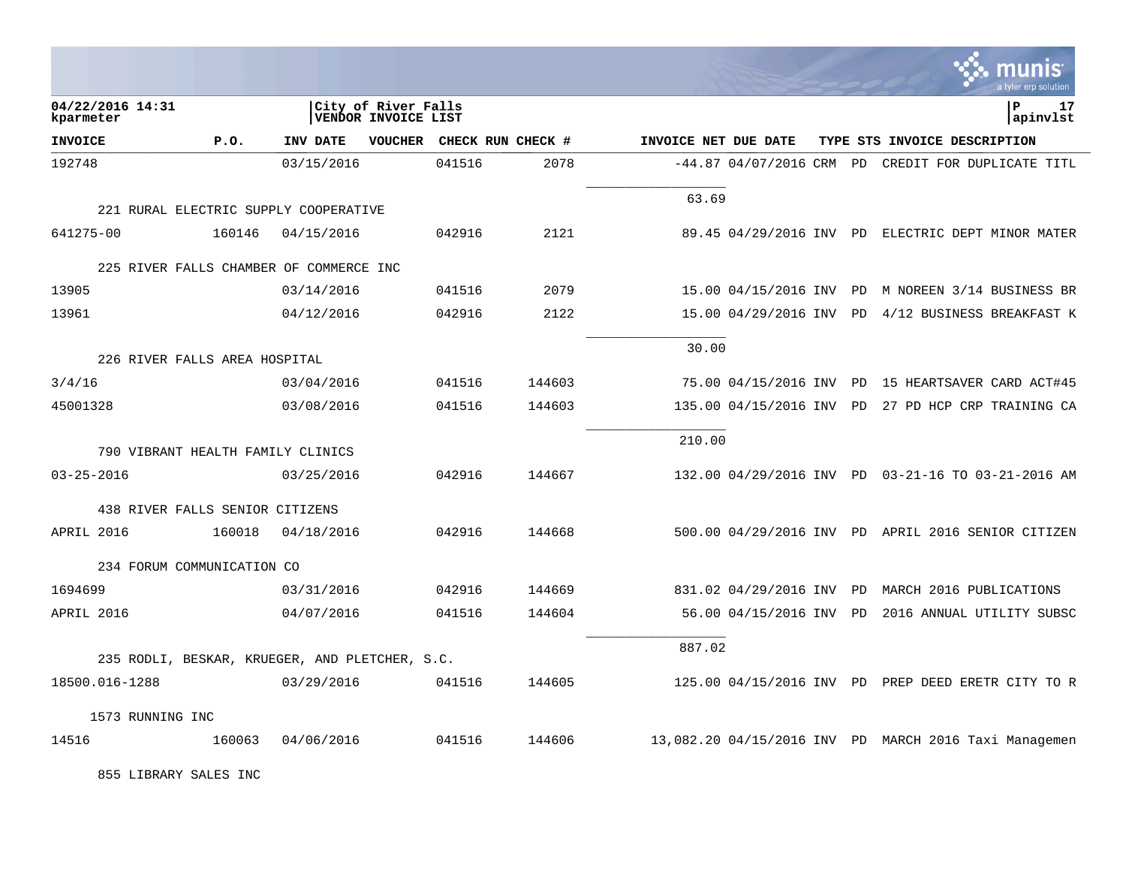|                                                |            |                                                   |        |                      |                          |  | <b>орын нэ</b><br>a tyler erp solution                |
|------------------------------------------------|------------|---------------------------------------------------|--------|----------------------|--------------------------|--|-------------------------------------------------------|
| 04/22/2016 14:31<br>kparmeter                  |            | City of River Falls<br><b>VENDOR INVOICE LIST</b> |        |                      |                          |  | l P<br>17<br>apinvlst                                 |
| <b>INVOICE</b><br>P.O.                         | INV DATE   | VOUCHER CHECK RUN CHECK #                         |        | INVOICE NET DUE DATE |                          |  | TYPE STS INVOICE DESCRIPTION                          |
| 192748                                         | 03/15/2016 | 041516                                            | 2078   |                      |                          |  | $-44.87$ 04/07/2016 CRM PD CREDIT FOR DUPLICATE TITL  |
|                                                |            |                                                   |        | 63.69                |                          |  |                                                       |
| 221 RURAL ELECTRIC SUPPLY COOPERATIVE          |            |                                                   |        |                      |                          |  |                                                       |
| 641275-00<br>160146                            | 04/15/2016 | 042916                                            | 2121   |                      |                          |  | 89.45 04/29/2016 INV PD ELECTRIC DEPT MINOR MATER     |
| 225 RIVER FALLS CHAMBER OF COMMERCE INC        |            |                                                   |        |                      |                          |  |                                                       |
| 13905                                          | 03/14/2016 | 041516                                            | 2079   |                      |                          |  | 15.00 04/15/2016 INV PD M NOREEN 3/14 BUSINESS BR     |
| 13961                                          | 04/12/2016 | 042916                                            | 2122   |                      |                          |  | 15.00 04/29/2016 INV PD 4/12 BUSINESS BREAKFAST K     |
|                                                |            |                                                   |        | 30.00                |                          |  |                                                       |
| 226 RIVER FALLS AREA HOSPITAL                  |            |                                                   |        |                      |                          |  |                                                       |
| 3/4/16                                         | 03/04/2016 | 041516                                            | 144603 |                      | 75.00 04/15/2016 INV PD  |  | 15 HEARTSAVER CARD ACT#45                             |
| 45001328                                       | 03/08/2016 | 041516                                            | 144603 |                      |                          |  | 135.00 04/15/2016 INV PD 27 PD HCP CRP TRAINING CA    |
| 790 VIBRANT HEALTH FAMILY CLINICS              |            |                                                   |        | 210.00               |                          |  |                                                       |
|                                                |            |                                                   |        |                      |                          |  |                                                       |
| $03 - 25 - 2016$                               | 03/25/2016 | 042916                                            | 144667 |                      |                          |  | 132.00 04/29/2016 INV PD 03-21-16 TO 03-21-2016 AM    |
| 438 RIVER FALLS SENIOR CITIZENS                |            |                                                   |        |                      |                          |  |                                                       |
| APRIL 2016<br>160018                           | 04/18/2016 | 042916                                            | 144668 |                      |                          |  | 500.00 04/29/2016 INV PD APRIL 2016 SENIOR CITIZEN    |
| 234 FORUM COMMUNICATION CO                     |            |                                                   |        |                      |                          |  |                                                       |
| 1694699                                        | 03/31/2016 | 042916                                            | 144669 |                      | 831.02 04/29/2016 INV PD |  | MARCH 2016 PUBLICATIONS                               |
| APRIL 2016                                     | 04/07/2016 | 041516                                            | 144604 |                      | 56.00 04/15/2016 INV PD  |  | 2016 ANNUAL UTILITY SUBSC                             |
|                                                |            |                                                   |        | 887.02               |                          |  |                                                       |
| 235 RODLI, BESKAR, KRUEGER, AND PLETCHER, S.C. |            |                                                   |        |                      |                          |  |                                                       |
| 18500.016-1288                                 | 03/29/2016 | 041516                                            | 144605 |                      |                          |  | 125.00 04/15/2016 INV PD PREP DEED ERETR CITY TO R    |
| 1573 RUNNING INC                               |            |                                                   |        |                      |                          |  |                                                       |
| 14516<br>160063                                | 04/06/2016 | 041516                                            | 144606 |                      |                          |  | 13,082.20 04/15/2016 INV PD MARCH 2016 Taxi Managemen |

 $\ddot{\cdot}$  munic

855 LIBRARY SALES INC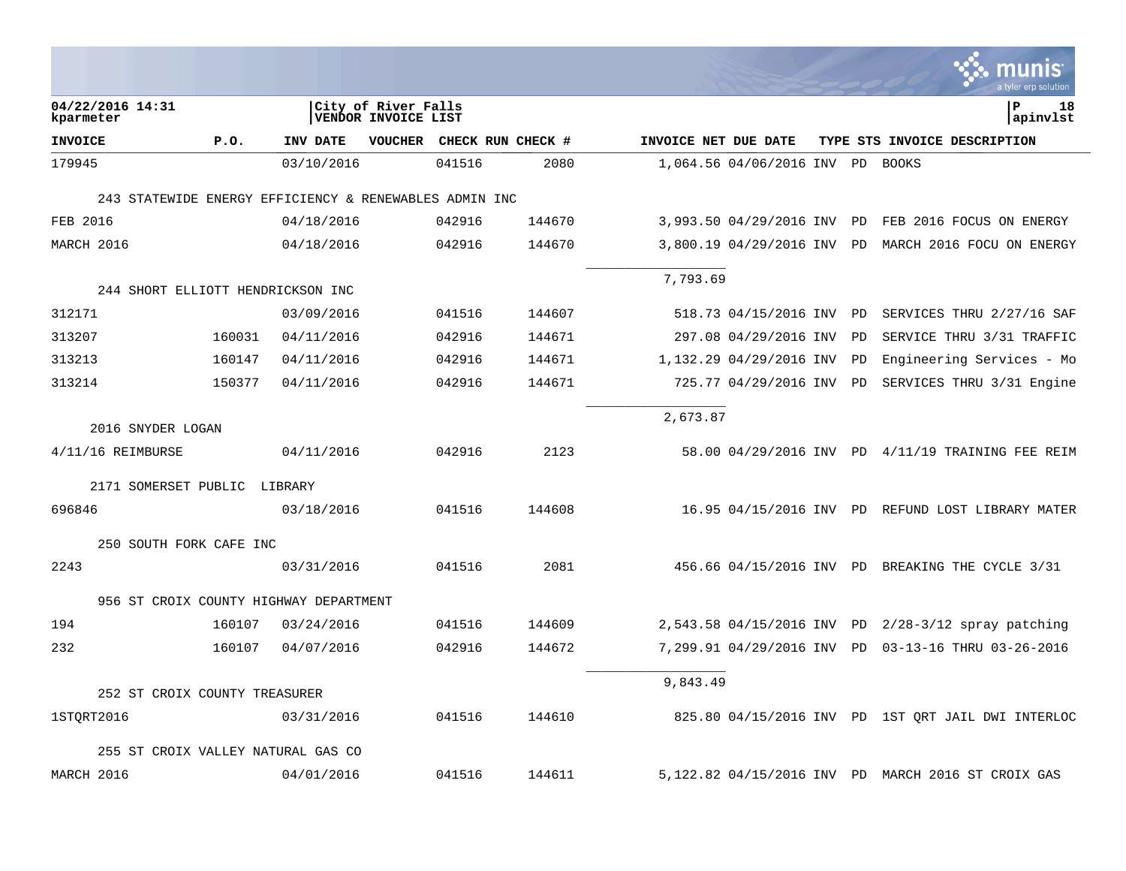|                |                                                        |            |                                            |        |                   |                      |                            |           |    | munis<br>a tyler erp solution                      |
|----------------|--------------------------------------------------------|------------|--------------------------------------------|--------|-------------------|----------------------|----------------------------|-----------|----|----------------------------------------------------|
| kparmeter      | 04/22/2016 14:31                                       |            | City of River Falls<br>VENDOR INVOICE LIST |        |                   |                      |                            |           |    | ∣P<br>18<br>apinvlst                               |
| <b>INVOICE</b> | P.0.                                                   | INV DATE   | <b>VOUCHER</b>                             |        | CHECK RUN CHECK # | INVOICE NET DUE DATE |                            |           |    | TYPE STS INVOICE DESCRIPTION                       |
| 179945         |                                                        | 03/10/2016 |                                            | 041516 | 2080              |                      | 1,064.56 04/06/2016 INV    | <b>PD</b> |    | BOOKS                                              |
|                | 243 STATEWIDE ENERGY EFFICIENCY & RENEWABLES ADMIN INC |            |                                            |        |                   |                      |                            |           |    |                                                    |
| FEB 2016       |                                                        | 04/18/2016 |                                            | 042916 | 144670            |                      | 3,993.50 04/29/2016 INV    |           | PD | FEB 2016 FOCUS ON ENERGY                           |
| MARCH 2016     |                                                        | 04/18/2016 |                                            | 042916 | 144670            |                      | 3,800.19 04/29/2016 INV PD |           |    | MARCH 2016 FOCU ON ENERGY                          |
|                |                                                        |            |                                            |        |                   |                      |                            |           |    |                                                    |
|                | 244 SHORT ELLIOTT HENDRICKSON INC                      |            |                                            |        |                   | 7,793.69             |                            |           |    |                                                    |
| 312171         |                                                        | 03/09/2016 |                                            | 041516 | 144607            |                      | 518.73 04/15/2016 INV      | PD        |    | SERVICES THRU 2/27/16 SAF                          |
| 313207         | 160031                                                 | 04/11/2016 |                                            | 042916 | 144671            |                      | 297.08 04/29/2016 INV      |           | PD | SERVICE THRU 3/31 TRAFFIC                          |
| 313213         | 160147                                                 | 04/11/2016 |                                            | 042916 | 144671            |                      | 1,132.29 04/29/2016 INV    |           | PD | Engineering Services - Mo                          |
| 313214         | 150377                                                 | 04/11/2016 |                                            | 042916 | 144671            |                      | 725.77 04/29/2016 INV      |           | PD | SERVICES THRU 3/31 Engine                          |
|                |                                                        |            |                                            |        |                   | 2,673.87             |                            |           |    |                                                    |
|                | 2016 SNYDER LOGAN                                      |            |                                            |        |                   |                      |                            |           |    |                                                    |
|                | $4/11/16$ REIMBURSE                                    | 04/11/2016 |                                            | 042916 | 2123              |                      |                            |           |    | 58.00 04/29/2016 INV PD 4/11/19 TRAINING FEE REIM  |
|                | 2171 SOMERSET PUBLIC LIBRARY                           |            |                                            |        |                   |                      |                            |           |    |                                                    |
| 696846         |                                                        | 03/18/2016 |                                            | 041516 | 144608            |                      |                            |           |    | 16.95 04/15/2016 INV PD REFUND LOST LIBRARY MATER  |
|                | 250 SOUTH FORK CAFE INC                                |            |                                            |        |                   |                      |                            |           |    |                                                    |
| 2243           |                                                        | 03/31/2016 |                                            | 041516 | 2081              |                      |                            |           |    | 456.66 04/15/2016 INV PD BREAKING THE CYCLE 3/31   |
|                | 956 ST CROIX COUNTY HIGHWAY DEPARTMENT                 |            |                                            |        |                   |                      |                            |           |    |                                                    |
| 194            | 160107                                                 | 03/24/2016 |                                            | 041516 | 144609            |                      | 2,543.58 04/15/2016 INV PD |           |    | $2/28 - 3/12$ spray patching                       |
| 232            | 160107                                                 | 04/07/2016 |                                            | 042916 | 144672            |                      | 7,299.91 04/29/2016 INV    |           | PD | 03-13-16 THRU 03-26-2016                           |
|                |                                                        |            |                                            |        |                   |                      |                            |           |    |                                                    |
|                | 252 ST CROIX COUNTY TREASURER                          |            |                                            |        |                   | 9,843.49             |                            |           |    |                                                    |
| 1STORT2016     |                                                        | 03/31/2016 |                                            | 041516 | 144610            |                      |                            |           |    | 825.80 04/15/2016 INV PD 1ST QRT JAIL DWI INTERLOC |
|                | 255 ST CROIX VALLEY NATURAL GAS CO                     |            |                                            |        |                   |                      |                            |           |    |                                                    |
| MARCH 2016     |                                                        | 04/01/2016 |                                            | 041516 | 144611            |                      |                            |           |    | 5,122.82 04/15/2016 INV PD MARCH 2016 ST CROIX GAS |

**College**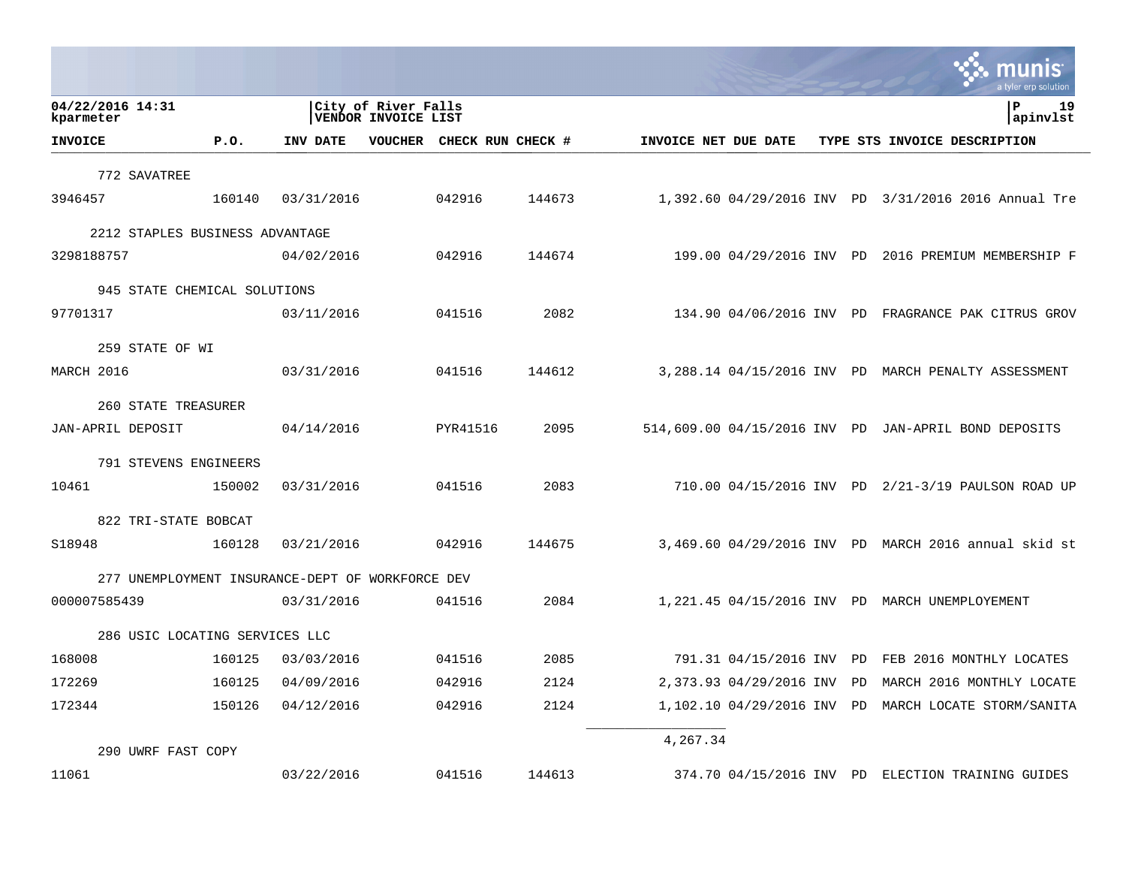|                                                  |        |            |                                            |                   |        |                      |                          |    | munis<br>a tyler erp solution                        |
|--------------------------------------------------|--------|------------|--------------------------------------------|-------------------|--------|----------------------|--------------------------|----|------------------------------------------------------|
| 04/22/2016 14:31<br>kparmeter                    |        |            | City of River Falls<br>VENDOR INVOICE LIST |                   |        |                      |                          |    | 19<br>l P<br>apinvlst                                |
| <b>INVOICE</b>                                   | P.0.   | INV DATE   | VOUCHER                                    | CHECK RUN CHECK # |        | INVOICE NET DUE DATE |                          |    | TYPE STS INVOICE DESCRIPTION                         |
| 772 SAVATREE                                     |        |            |                                            |                   |        |                      |                          |    |                                                      |
| 3946457                                          | 160140 | 03/31/2016 |                                            | 042916            | 144673 |                      |                          |    | 1,392.60 04/29/2016 INV PD 3/31/2016 2016 Annual Tre |
| 2212 STAPLES BUSINESS ADVANTAGE                  |        |            |                                            |                   |        |                      |                          |    |                                                      |
| 3298188757                                       |        | 04/02/2016 |                                            | 042916            | 144674 |                      | 199.00 04/29/2016 INV PD |    | 2016 PREMIUM MEMBERSHIP F                            |
| 945 STATE CHEMICAL SOLUTIONS                     |        |            |                                            |                   |        |                      |                          |    |                                                      |
| 97701317                                         |        | 03/11/2016 |                                            | 041516            | 2082   |                      |                          |    | 134.90 04/06/2016 INV PD FRAGRANCE PAK CITRUS GROV   |
| 259 STATE OF WI                                  |        |            |                                            |                   |        |                      |                          |    |                                                      |
| MARCH 2016                                       |        | 03/31/2016 |                                            | 041516            | 144612 |                      |                          |    | 3,288.14 04/15/2016 INV PD MARCH PENALTY ASSESSMENT  |
| 260 STATE TREASURER                              |        |            |                                            |                   |        |                      |                          |    |                                                      |
| JAN-APRIL DEPOSIT                                |        | 04/14/2016 |                                            | PYR41516          | 2095   |                      |                          |    | 514,609.00 04/15/2016 INV PD JAN-APRIL BOND DEPOSITS |
| 791 STEVENS ENGINEERS                            |        |            |                                            |                   |        |                      |                          |    |                                                      |
| 10461                                            | 150002 | 03/31/2016 |                                            | 041516            | 2083   |                      |                          |    | 710.00 04/15/2016 INV PD 2/21-3/19 PAULSON ROAD UP   |
| 822 TRI-STATE BOBCAT                             |        |            |                                            |                   |        |                      |                          |    |                                                      |
| S18948                                           | 160128 | 03/21/2016 |                                            | 042916            | 144675 |                      |                          |    | 3,469.60 04/29/2016 INV PD MARCH 2016 annual skid st |
| 277 UNEMPLOYMENT INSURANCE-DEPT OF WORKFORCE DEV |        |            |                                            |                   |        |                      |                          |    |                                                      |
| 000007585439                                     |        | 03/31/2016 |                                            | 041516            | 2084   |                      |                          |    | 1,221.45 04/15/2016 INV PD MARCH UNEMPLOYEMENT       |
| 286 USIC LOCATING SERVICES LLC                   |        |            |                                            |                   |        |                      |                          |    |                                                      |
| 168008                                           | 160125 | 03/03/2016 |                                            | 041516            | 2085   |                      | 791.31 04/15/2016 INV    | PD | FEB 2016 MONTHLY LOCATES                             |
| 172269                                           | 160125 | 04/09/2016 |                                            | 042916            | 2124   |                      | 2,373.93 04/29/2016 INV  | PD | MARCH 2016 MONTHLY LOCATE                            |
| 172344                                           | 150126 | 04/12/2016 |                                            | 042916            | 2124   |                      | 1,102.10 04/29/2016 INV  | PD | MARCH LOCATE STORM/SANITA                            |
| 290 UWRF FAST COPY                               |        |            |                                            |                   |        | 4,267.34             |                          |    |                                                      |
| 11061                                            |        | 03/22/2016 |                                            | 041516            | 144613 |                      |                          |    | 374.70 04/15/2016 INV PD ELECTION TRAINING GUIDES    |

**Contract Contract Contract**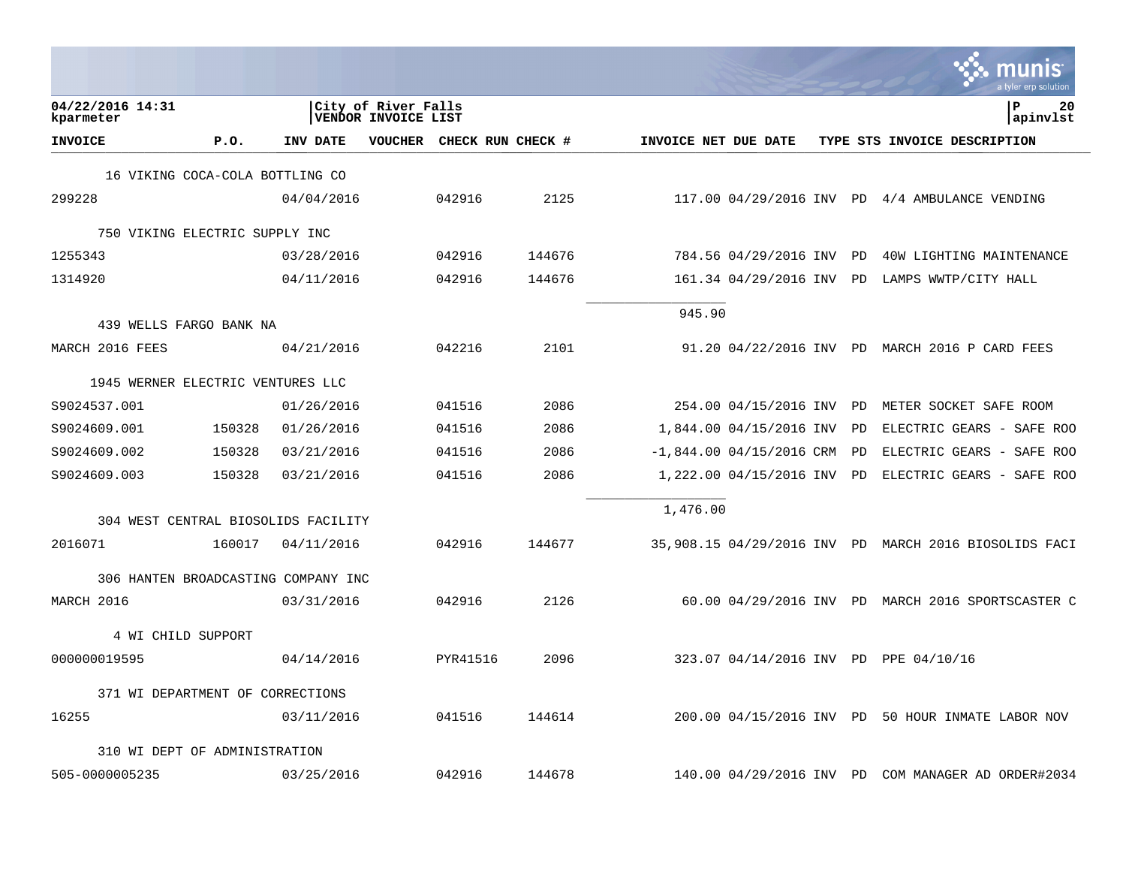|                                     |        |            |                                            |                           |        |                      |                            |           | nıs<br>a tyler erp solutior                           |
|-------------------------------------|--------|------------|--------------------------------------------|---------------------------|--------|----------------------|----------------------------|-----------|-------------------------------------------------------|
| 04/22/2016 14:31<br>kparmeter       |        |            | City of River Falls<br>VENDOR INVOICE LIST |                           |        |                      |                            |           | l P<br>20<br>apinvlst                                 |
| <b>INVOICE</b>                      | P.0.   | INV DATE   |                                            | VOUCHER CHECK RUN CHECK # |        | INVOICE NET DUE DATE |                            |           | TYPE STS INVOICE DESCRIPTION                          |
| 16 VIKING COCA-COLA BOTTLING CO     |        |            |                                            |                           |        |                      |                            |           |                                                       |
| 299228                              |        | 04/04/2016 |                                            | 042916                    | 2125   |                      |                            |           | $117.00$ 04/29/2016 INV PD 4/4 AMBULANCE VENDING      |
| 750 VIKING ELECTRIC SUPPLY INC      |        |            |                                            |                           |        |                      |                            |           |                                                       |
| 1255343                             |        | 03/28/2016 |                                            | 042916                    | 144676 |                      | 784.56 04/29/2016 INV      | <b>PD</b> | 40W LIGHTING MAINTENANCE                              |
| 1314920                             |        | 04/11/2016 |                                            | 042916                    | 144676 |                      | 161.34 04/29/2016 INV PD   |           | LAMPS WWTP/CITY HALL                                  |
| 439 WELLS FARGO BANK NA             |        |            |                                            |                           |        | 945.90               |                            |           |                                                       |
| MARCH 2016 FEES                     |        | 04/21/2016 |                                            | 042216                    | 2101   |                      |                            |           | 91.20 04/22/2016 INV PD MARCH 2016 P CARD FEES        |
| 1945 WERNER ELECTRIC VENTURES LLC   |        |            |                                            |                           |        |                      |                            |           |                                                       |
| S9024537.001                        |        | 01/26/2016 |                                            | 041516                    | 2086   |                      | 254.00 04/15/2016 INV PD   |           | METER SOCKET SAFE ROOM                                |
| S9024609.001                        | 150328 | 01/26/2016 |                                            | 041516                    | 2086   |                      | 1,844.00 04/15/2016 INV    | PD        | ELECTRIC GEARS - SAFE ROO                             |
| S9024609.002                        | 150328 | 03/21/2016 |                                            | 041516                    | 2086   |                      | $-1,844.00$ 04/15/2016 CRM | PD        | ELECTRIC GEARS - SAFE ROO                             |
| S9024609.003                        | 150328 | 03/21/2016 |                                            | 041516                    | 2086   |                      | 1,222.00 04/15/2016 INV PD |           | ELECTRIC GEARS - SAFE ROO                             |
| 304 WEST CENTRAL BIOSOLIDS FACILITY |        |            |                                            |                           |        | 1,476.00             |                            |           |                                                       |
| 2016071                             | 160017 | 04/11/2016 |                                            | 042916                    | 144677 |                      |                            |           | 35,908.15 04/29/2016 INV PD MARCH 2016 BIOSOLIDS FACI |
| 306 HANTEN BROADCASTING COMPANY INC |        |            |                                            |                           |        |                      |                            |           |                                                       |
| MARCH 2016                          |        | 03/31/2016 |                                            | 042916                    | 2126   |                      |                            |           | 60.00 04/29/2016 INV PD MARCH 2016 SPORTSCASTER C     |
| 4 WI CHILD SUPPORT                  |        |            |                                            |                           |        |                      |                            |           |                                                       |
| 000000019595                        |        | 04/14/2016 |                                            | PYR41516                  | 2096   |                      |                            |           | 323.07 04/14/2016 INV PD PPE 04/10/16                 |
| 371 WI DEPARTMENT OF CORRECTIONS    |        |            |                                            |                           |        |                      |                            |           |                                                       |
| 16255                               |        | 03/11/2016 |                                            | 041516                    | 144614 |                      |                            |           | 200.00 04/15/2016 INV PD 50 HOUR INMATE LABOR NOV     |
| 310 WI DEPT OF ADMINISTRATION       |        |            |                                            |                           |        |                      |                            |           |                                                       |
| 505-0000005235                      |        | 03/25/2016 |                                            | 042916                    | 144678 |                      | 140.00 04/29/2016 INV PD   |           | COM MANAGER AD ORDER#2034                             |

 $\sim$ 

that a state of

the control of the control of the control of the control of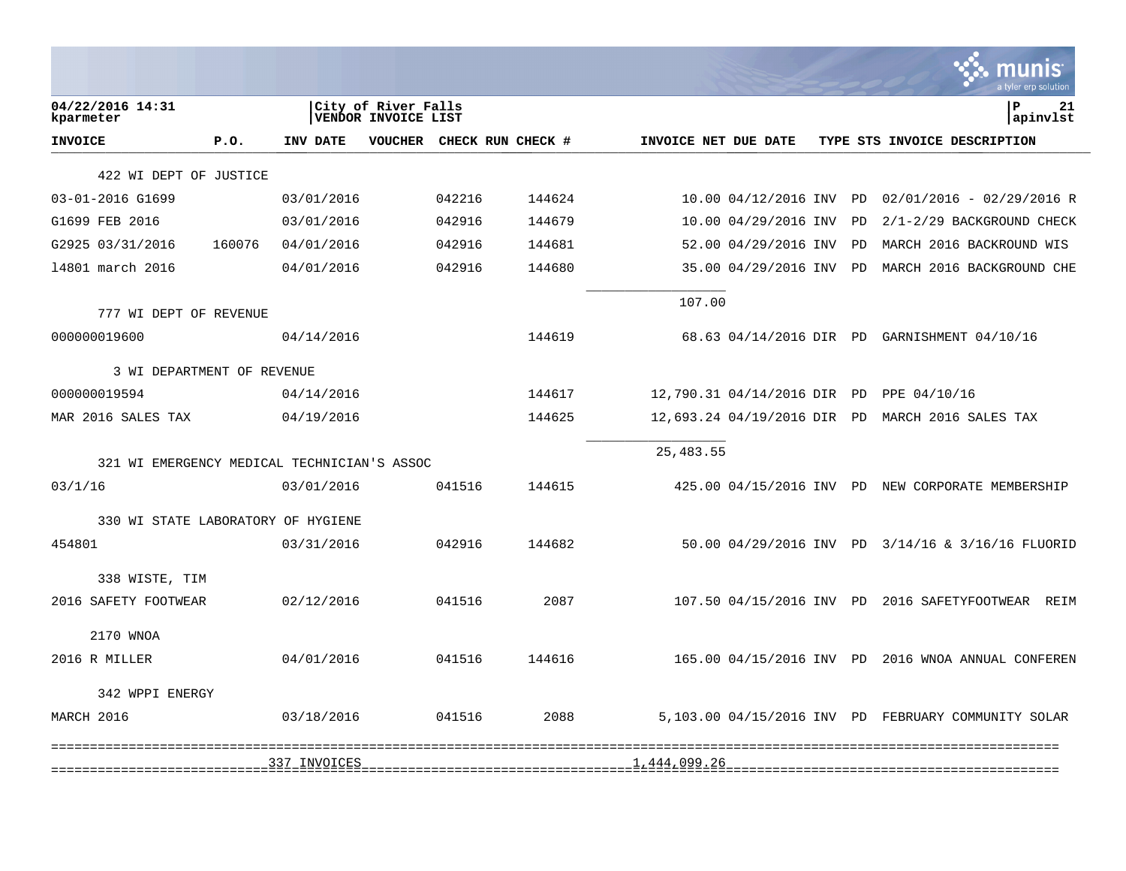|                               |                                             |                                                   |                                     |        |                      |                             |    | a tyler erp solution                                |
|-------------------------------|---------------------------------------------|---------------------------------------------------|-------------------------------------|--------|----------------------|-----------------------------|----|-----------------------------------------------------|
| 04/22/2016 14:31<br>kparmeter |                                             | City of River Falls<br><b>VENDOR INVOICE LIST</b> |                                     |        |                      |                             |    | ΙP<br>21<br>apinvlst                                |
| <b>INVOICE</b>                | P.0.                                        | INV DATE                                          | <b>VOUCHER</b><br>CHECK RUN CHECK # |        | INVOICE NET DUE DATE |                             |    | TYPE STS INVOICE DESCRIPTION                        |
|                               | 422 WI DEPT OF JUSTICE                      |                                                   |                                     |        |                      |                             |    |                                                     |
| 03-01-2016 G1699              |                                             | 03/01/2016                                        | 042216                              | 144624 |                      | 10.00 04/12/2016 INV        | PD | $02/01/2016 - 02/29/2016 R$                         |
| G1699 FEB 2016                |                                             | 03/01/2016                                        | 042916                              | 144679 |                      | 10.00 04/29/2016 INV        | PD | 2/1-2/29 BACKGROUND CHECK                           |
| G2925 03/31/2016              | 160076                                      | 04/01/2016                                        | 042916                              | 144681 |                      | 52.00 04/29/2016 INV        | PD | MARCH 2016 BACKROUND WIS                            |
| 14801 march 2016              |                                             | 04/01/2016                                        | 042916                              | 144680 |                      | 35.00 04/29/2016 INV        | PD | MARCH 2016 BACKGROUND CHE                           |
|                               | 777 WI DEPT OF REVENUE                      |                                                   |                                     |        | 107.00               |                             |    |                                                     |
| 000000019600                  |                                             | 04/14/2016                                        |                                     | 144619 |                      |                             |    | 68.63 04/14/2016 DIR PD GARNISHMENT 04/10/16        |
|                               | 3 WI DEPARTMENT OF REVENUE                  |                                                   |                                     |        |                      |                             |    |                                                     |
| 000000019594                  |                                             | 04/14/2016                                        |                                     | 144617 |                      | 12,790.31 04/14/2016 DIR PD |    | PPE 04/10/16                                        |
| MAR 2016 SALES TAX            |                                             | 04/19/2016                                        |                                     | 144625 |                      | 12,693.24 04/19/2016 DIR PD |    | MARCH 2016 SALES TAX                                |
|                               | 321 WI EMERGENCY MEDICAL TECHNICIAN'S ASSOC |                                                   |                                     |        | 25, 483.55           |                             |    |                                                     |
| 03/1/16                       |                                             | 03/01/2016                                        | 041516                              | 144615 |                      |                             |    | 425.00 04/15/2016 INV PD NEW CORPORATE MEMBERSHIP   |
|                               | 330 WI STATE LABORATORY OF HYGIENE          |                                                   |                                     |        |                      |                             |    |                                                     |
| 454801                        |                                             | 03/31/2016                                        | 042916                              | 144682 |                      |                             |    | 50.00 04/29/2016 INV PD 3/14/16 & 3/16/16 FLUORID   |
|                               | 338 WISTE, TIM                              |                                                   |                                     |        |                      |                             |    |                                                     |
|                               | 2016 SAFETY FOOTWEAR                        | 02/12/2016                                        | 041516                              | 2087   |                      | 107.50 04/15/2016 INV PD    |    | 2016 SAFETYFOOTWEAR REIM                            |
|                               | 2170 WNOA                                   |                                                   |                                     |        |                      |                             |    |                                                     |
| 2016 R MILLER                 |                                             | 04/01/2016                                        | 041516                              | 144616 |                      | 165.00 04/15/2016 INV PD    |    | 2016 WNOA ANNUAL CONFEREN                           |
|                               | 342 WPPI ENERGY                             |                                                   |                                     |        |                      |                             |    |                                                     |
| MARCH 2016                    |                                             | 03/18/2016                                        | 041516                              | 2088   |                      |                             |    | 5,103.00 04/15/2016 INV PD FEBRUARY COMMUNITY SOLAR |
|                               | ============================                | 337_INVOICES                                      |                                     |        | 14441922226          |                             |    |                                                     |